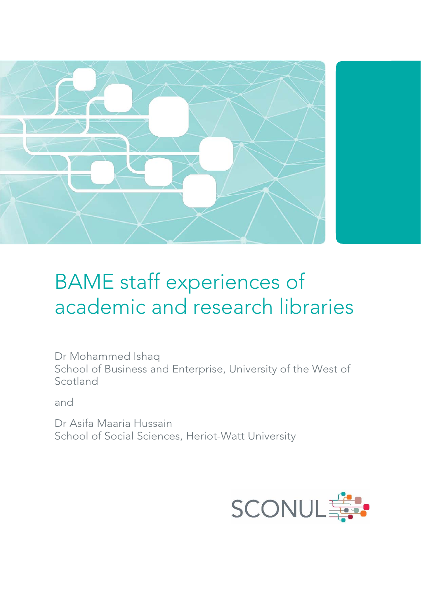

# BAME staff experiences of academic and research libraries

Dr Mohammed Ishaq School of Business and Enterprise, University of the West of Scotland

and

Dr Asifa Maaria Hussain School of Social Sciences, Heriot-Watt University

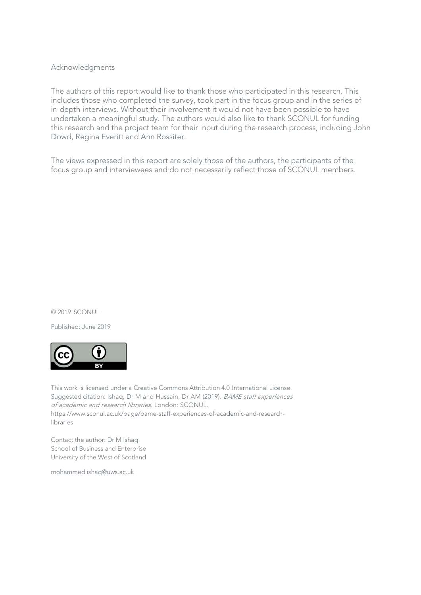#### Acknowledgments

The authors of this report would like to thank those who participated in this research. This includes those who completed the survey, took part in the focus group and in the series of in-depth interviews. Without their involvement it would not have been possible to have undertaken a meaningful study. The authors would also like to thank SCONUL for funding this research and the project team for their input during the research process, including John Dowd, Regina Everitt and Ann Rossiter.

The views expressed in this report are solely those of the authors, the participants of the focus group and interviewees and do not necessarily reflect those of SCONUL members.

#### © 2019 SCONUL

Published: June 2019



This work is licensed under a Creative Commons Attribution 4.0 International License. Suggested citation: Ishaq, Dr M and Hussain, Dr AM (2019). BAME staff experiences of academic and research libraries. London: SCONUL. [https://www.sconul.ac.uk/page/bame-staff-experiences-of-academic-and-research](https://www.sconul.ac.uk/page/bame-staff-experiences-of-academic-and-research-libraries)libraries

Contact the author: Dr M Ishaq School of Business and Enterprise University of the West of Scotland

mohammed.ishaq@uws.ac.uk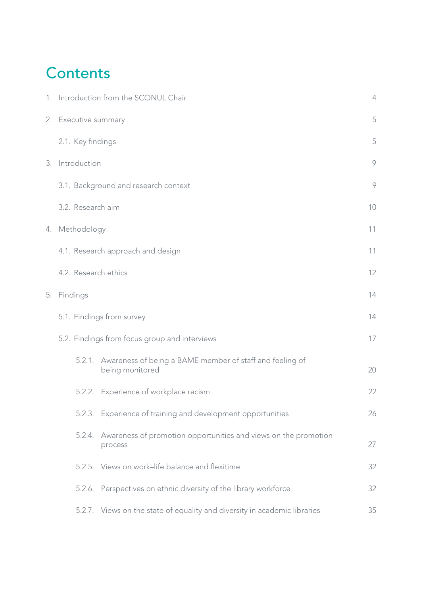### **Contents**

|    | 1. Introduction from the SCONUL Chair |                                                                             |    |  |  |  |  |
|----|---------------------------------------|-----------------------------------------------------------------------------|----|--|--|--|--|
|    | 2. Executive summary                  |                                                                             | 5  |  |  |  |  |
|    | 2.1. Key findings                     |                                                                             | 5  |  |  |  |  |
| 3. | Introduction                          |                                                                             | 9  |  |  |  |  |
|    |                                       | 3.1. Background and research context                                        | 9  |  |  |  |  |
|    | 3.2. Research aim                     |                                                                             | 10 |  |  |  |  |
|    | 4. Methodology                        |                                                                             | 11 |  |  |  |  |
|    | 4.1. Research approach and design     |                                                                             |    |  |  |  |  |
|    | 4.2. Research ethics                  |                                                                             | 12 |  |  |  |  |
| 5. | Findings                              |                                                                             | 14 |  |  |  |  |
|    | 5.1. Findings from survey             |                                                                             |    |  |  |  |  |
|    |                                       | 5.2. Findings from focus group and interviews                               | 17 |  |  |  |  |
|    | 5.2.1.                                | Awareness of being a BAME member of staff and feeling of<br>being monitored | 20 |  |  |  |  |
|    |                                       | 5.2.2. Experience of workplace racism                                       | 22 |  |  |  |  |
|    |                                       | 5.2.3. Experience of training and development opportunities                 | 26 |  |  |  |  |
|    | 5.2.4.                                | Awareness of promotion opportunities and views on the promotion<br>process  | 27 |  |  |  |  |
|    |                                       | 5.2.5. Views on work-life balance and flexitime                             | 32 |  |  |  |  |
|    |                                       | 5.2.6. Perspectives on ethnic diversity of the library workforce            | 32 |  |  |  |  |
|    |                                       | 5.2.7. Views on the state of equality and diversity in academic libraries   | 35 |  |  |  |  |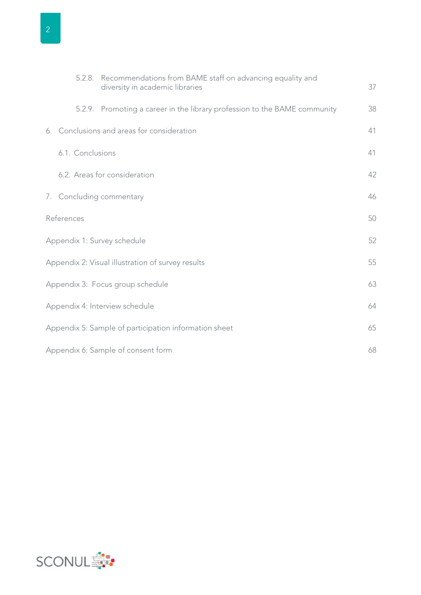| ó |  |
|---|--|

|                                                       | 5.2.8.           | Recommendations from BAME staff on advancing equality and                 |    |
|-------------------------------------------------------|------------------|---------------------------------------------------------------------------|----|
|                                                       |                  | diversity in academic libraries                                           | 37 |
|                                                       |                  | 5.2.9. Promoting a career in the library profession to the BAME community | 38 |
|                                                       |                  | 6. Conclusions and areas for consideration                                | 41 |
|                                                       | 6.1. Conclusions |                                                                           | 41 |
|                                                       |                  | 6.2. Areas for consideration                                              | 42 |
|                                                       |                  | 7. Concluding commentary                                                  | 46 |
|                                                       | References       |                                                                           | 50 |
|                                                       |                  | Appendix 1: Survey schedule                                               | 52 |
|                                                       |                  | Appendix 2: Visual illustration of survey results                         | 55 |
|                                                       |                  | Appendix 3: Focus group schedule                                          | 63 |
| Appendix 4: Interview schedule                        |                  |                                                                           | 64 |
| Appendix 5: Sample of participation information sheet |                  |                                                                           |    |
| Appendix 6: Sample of consent form                    |                  |                                                                           |    |

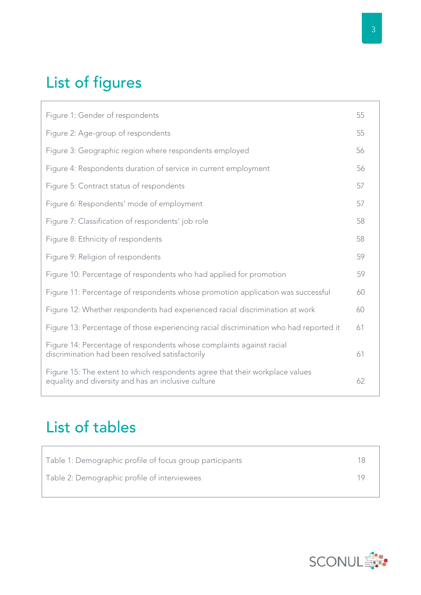## List of figures

| Figure 1: Gender of respondents                                                                                                     | 55 |
|-------------------------------------------------------------------------------------------------------------------------------------|----|
| Figure 2: Age-group of respondents                                                                                                  | 55 |
| Figure 3: Geographic region where respondents employed                                                                              | 56 |
| Figure 4: Respondents duration of service in current employment                                                                     | 56 |
| Figure 5: Contract status of respondents                                                                                            | 57 |
| Figure 6: Respondents' mode of employment                                                                                           | 57 |
| Figure 7: Classification of respondents' job role                                                                                   | 58 |
| Figure 8: Ethnicity of respondents                                                                                                  | 58 |
| Figure 9: Religion of respondents                                                                                                   | 59 |
| Figure 10: Percentage of respondents who had applied for promotion                                                                  | 59 |
| Figure 11: Percentage of respondents whose promotion application was successful                                                     | 60 |
| Figure 12: Whether respondents had experienced racial discrimination at work                                                        | 60 |
| Figure 13: Percentage of those experiencing racial discrimination who had reported it                                               | 61 |
| Figure 14: Percentage of respondents whose complaints against racial<br>discrimination had been resolved satisfactorily             | 61 |
| Figure 15: The extent to which respondents agree that their workplace values<br>equality and diversity and has an inclusive culture | 62 |

### List of tables

| Table 1: Demographic profile of focus group participants | 18. |
|----------------------------------------------------------|-----|
| Table 2: Demographic profile of interviewees             |     |

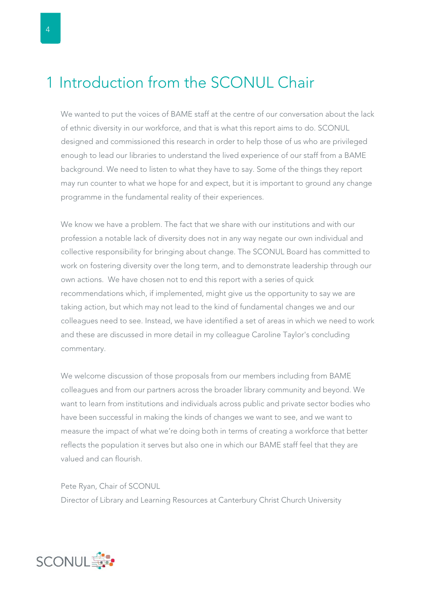### <span id="page-5-0"></span>1 Introduction from the SCONUL Chair

We wanted to put the voices of BAME staff at the centre of our conversation about the lack of ethnic diversity in our workforce, and that is what this report aims to do. SCONUL designed and commissioned this research in order to help those of us who are privileged enough to lead our libraries to understand the lived experience of our staff from a BAME background. We need to listen to what they have to say. Some of the things they report may run counter to what we hope for and expect, but it is important to ground any change programme in the fundamental reality of their experiences.

We know we have a problem. The fact that we share with our institutions and with our profession a notable lack of diversity does not in any way negate our own individual and collective responsibility for bringing about change. The SCONUL Board has committed to work on fostering diversity over the long term, and to demonstrate leadership through our own actions. We have chosen not to end this report with a series of quick recommendations which, if implemented, might give us the opportunity to say we are taking action, but which may not lead to the kind of fundamental changes we and our colleagues need to see. Instead, we have identified a set of areas in which we need to work and these are discussed in more detail in my colleague Caroline Taylor's concluding commentary.

We welcome discussion of those proposals from our members including from BAME colleagues and from our partners across the broader library community and beyond. We want to learn from institutions and individuals across public and private sector bodies who have been successful in making the kinds of changes we want to see, and we want to measure the impact of what we're doing both in terms of creating a workforce that better reflects the population it serves but also one in which our BAME staff feel that they are valued and can flourish.

Pete Ryan, Chair of SCONUL Director of Library and Learning Resources at Canterbury Christ Church University

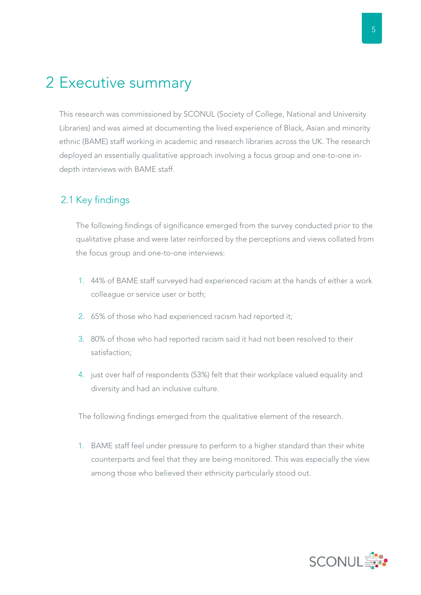5

### <span id="page-6-0"></span>2 Executive summary

This research was commissioned by SCONUL (Society of College, National and University Libraries) and was aimed at documenting the lived experience of Black, Asian and minority ethnic (BAME) staff working in academic and research libraries across the UK. The research deployed an essentially qualitative approach involving a focus group and one-to-one indepth interviews with BAME staff.

### 2.1 Key findings

The following findings of significance emerged from the survey conducted prior to the qualitative phase and were later reinforced by the perceptions and views collated from the focus group and one-to-one interviews:

- 1. 44% of BAME staff surveyed had experienced racism at the hands of either a work colleague or service user or both;
- 2. 65% of those who had experienced racism had reported it;
- 3. 80% of those who had reported racism said it had not been resolved to their satisfaction;
- 4. just over half of respondents (53%) felt that their workplace valued equality and diversity and had an inclusive culture.

The following findings emerged from the qualitative element of the research.

1. BAME staff feel under pressure to perform to a higher standard than their white counterparts and feel that they are being monitored. This was especially the view among those who believed their ethnicity particularly stood out.

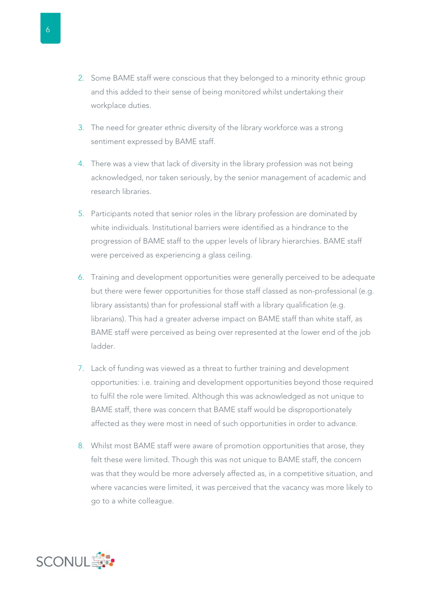- 2. Some BAME staff were conscious that they belonged to a minority ethnic group and this added to their sense of being monitored whilst undertaking their workplace duties.
- 3. The need for greater ethnic diversity of the library workforce was a strong sentiment expressed by BAME staff.
- 4. There was a view that lack of diversity in the library profession was not being acknowledged, nor taken seriously, by the senior management of academic and research libraries.
- 5. Participants noted that senior roles in the library profession are dominated by white individuals. Institutional barriers were identified as a hindrance to the progression of BAME staff to the upper levels of library hierarchies. BAME staff were perceived as experiencing a glass ceiling.
- 6. Training and development opportunities were generally perceived to be adequate but there were fewer opportunities for those staff classed as non-professional (e.g. library assistants) than for professional staff with a library qualification (e.g. librarians). This had a greater adverse impact on BAME staff than white staff, as BAME staff were perceived as being over represented at the lower end of the job ladder.
- 7. Lack of funding was viewed as a threat to further training and development opportunities: i.e. training and development opportunities beyond those required to fulfil the role were limited. Although this was acknowledged as not unique to BAME staff, there was concern that BAME staff would be disproportionately affected as they were most in need of such opportunities in order to advance.
- 8. Whilst most BAME staff were aware of promotion opportunities that arose, they felt these were limited. Though this was not unique to BAME staff, the concern was that they would be more adversely affected as, in a competitive situation, and where vacancies were limited, it was perceived that the vacancy was more likely to go to a white colleague.

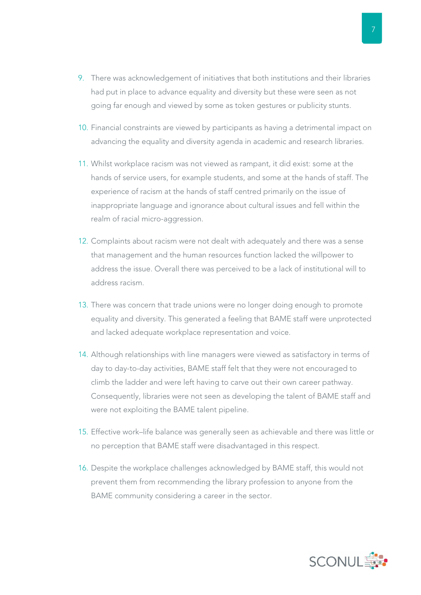- 9. There was acknowledgement of initiatives that both institutions and their libraries had put in place to advance equality and diversity but these were seen as not going far enough and viewed by some as token gestures or publicity stunts.
- 10. Financial constraints are viewed by participants as having a detrimental impact on advancing the equality and diversity agenda in academic and research libraries.
- 11. Whilst workplace racism was not viewed as rampant, it did exist: some at the hands of service users, for example students, and some at the hands of staff. The experience of racism at the hands of staff centred primarily on the issue of inappropriate language and ignorance about cultural issues and fell within the realm of racial micro-aggression.
- 12. Complaints about racism were not dealt with adequately and there was a sense that management and the human resources function lacked the willpower to address the issue. Overall there was perceived to be a lack of institutional will to address racism.
- 13. There was concern that trade unions were no longer doing enough to promote equality and diversity. This generated a feeling that BAME staff were unprotected and lacked adequate workplace representation and voice.
- 14. Although relationships with line managers were viewed as satisfactory in terms of day to day-to-day activities, BAME staff felt that they were not encouraged to climb the ladder and were left having to carve out their own career pathway. Consequently, libraries were not seen as developing the talent of BAME staff and were not exploiting the BAME talent pipeline.
- 15. Effective work–life balance was generally seen as achievable and there was little or no perception that BAME staff were disadvantaged in this respect.
- 16. Despite the workplace challenges acknowledged by BAME staff, this would not prevent them from recommending the library profession to anyone from the BAME community considering a career in the sector.

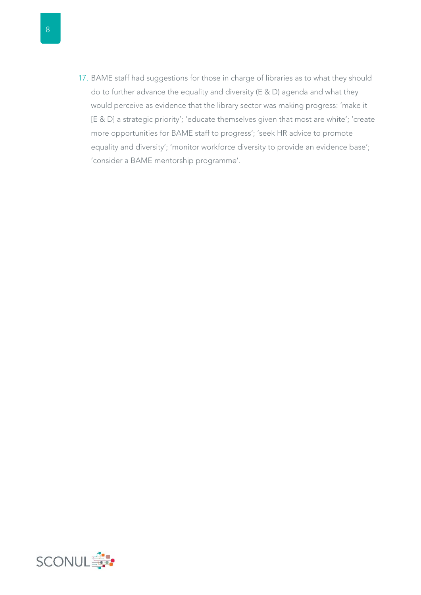17. BAME staff had suggestions for those in charge of libraries as to what they should do to further advance the equality and diversity (E & D) agenda and what they would perceive as evidence that the library sector was making progress: 'make it [E & D] a strategic priority'; 'educate themselves given that most are white'; 'create more opportunities for BAME staff to progress'; 'seek HR advice to promote equality and diversity'; 'monitor workforce diversity to provide an evidence base'; 'consider a BAME mentorship programme'.

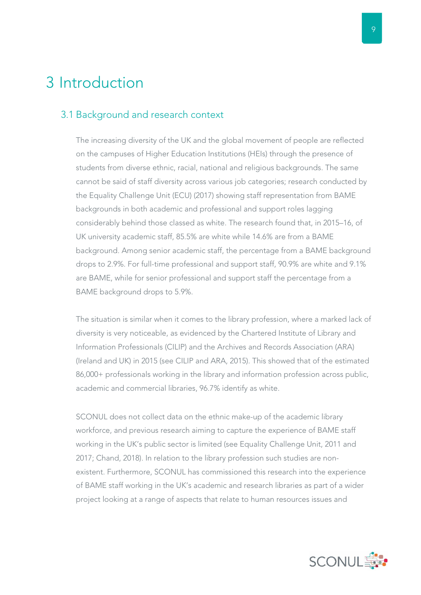### <span id="page-10-0"></span>3 Introduction

#### 3.1 Background and research context

The increasing diversity of the UK and the global movement of people are reflected on the campuses of Higher Education Institutions (HEIs) through the presence of students from diverse ethnic, racial, national and religious backgrounds. The same cannot be said of staff diversity across various job categories; research conducted by the Equality Challenge Unit (ECU) (2017) showing staff representation from BAME backgrounds in both academic and professional and support roles lagging considerably behind those classed as white. The research found that, in 2015–16, of UK university academic staff, 85.5% are white while 14.6% are from a BAME background. Among senior academic staff, the percentage from a BAME background drops to 2.9%. For full-time professional and support staff, 90.9% are white and 9.1% are BAME, while for senior professional and support staff the percentage from a BAME background drops to 5.9%.

The situation is similar when it comes to the library profession, where a marked lack of diversity is very noticeable, as evidenced by the Chartered Institute of Library and Information Professionals (CILIP) and the Archives and Records Association (ARA) (Ireland and UK) in 2015 (see CILIP and ARA, 2015). This showed that of the estimated 86,000+ professionals working in the library and information profession across public, academic and commercial libraries, 96.7% identify as white.

SCONUL does not collect data on the ethnic make-up of the academic library workforce, and previous research aiming to capture the experience of BAME staff working in the UK's public sector is limited (see Equality Challenge Unit, 2011 and 2017; Chand, 2018). In relation to the library profession such studies are nonexistent. Furthermore, SCONUL has commissioned this research into the experience of BAME staff working in the UK's academic and research libraries as part of a wider project looking at a range of aspects that relate to human resources issues and

 $\overline{Q}$ 

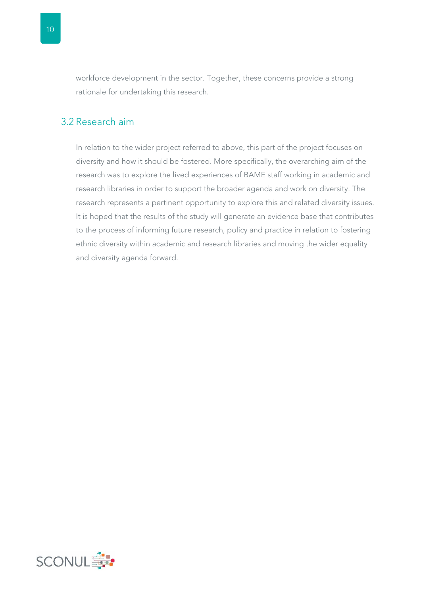<span id="page-11-0"></span>workforce development in the sector. Together, these concerns provide a strong rationale for undertaking this research.

#### 3.2 Research aim

In relation to the wider project referred to above, this part of the project focuses on diversity and how it should be fostered. More specifically, the overarching aim of the research was to explore the lived experiences of BAME staff working in academic and research libraries in order to support the broader agenda and work on diversity. The research represents a pertinent opportunity to explore this and related diversity issues. It is hoped that the results of the study will generate an evidence base that contributes to the process of informing future research, policy and practice in relation to fostering ethnic diversity within academic and research libraries and moving the wider equality and diversity agenda forward.

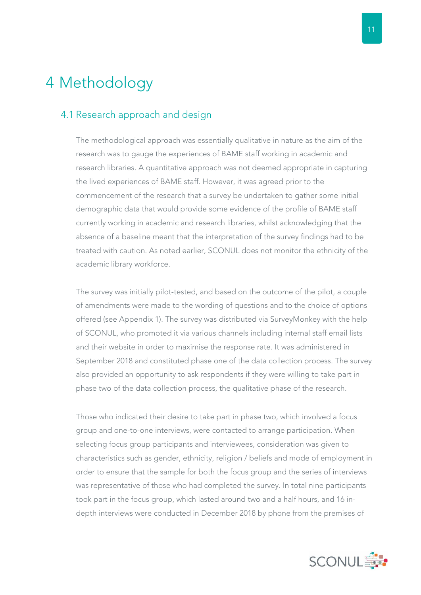### <span id="page-12-0"></span>4 Methodology

#### 4.1 Research approach and design

The methodological approach was essentially qualitative in nature as the aim of the research was to gauge the experiences of BAME staff working in academic and research libraries. A quantitative approach was not deemed appropriate in capturing the lived experiences of BAME staff. However, it was agreed prior to the commencement of the research that a survey be undertaken to gather some initial demographic data that would provide some evidence of the profile of BAME staff currently working in academic and research libraries, whilst acknowledging that the absence of a baseline meant that the interpretation of the survey findings had to be treated with caution. As noted earlier, SCONUL does not monitor the ethnicity of the academic library workforce.

The survey was initially pilot-tested, and based on the outcome of the pilot, a couple of amendments were made to the wording of questions and to the choice of options offered (see Appendix 1). The survey was distributed via SurveyMonkey with the help of SCONUL, who promoted it via various channels including internal staff email lists and their website in order to maximise the response rate. It was administered in September 2018 and constituted phase one of the data collection process. The survey also provided an opportunity to ask respondents if they were willing to take part in phase two of the data collection process, the qualitative phase of the research.

Those who indicated their desire to take part in phase two, which involved a focus group and one-to-one interviews, were contacted to arrange participation. When selecting focus group participants and interviewees, consideration was given to characteristics such as gender, ethnicity, religion / beliefs and mode of employment in order to ensure that the sample for both the focus group and the series of interviews was representative of those who had completed the survey. In total nine participants took part in the focus group, which lasted around two and a half hours, and 16 indepth interviews were conducted in December 2018 by phone from the premises of

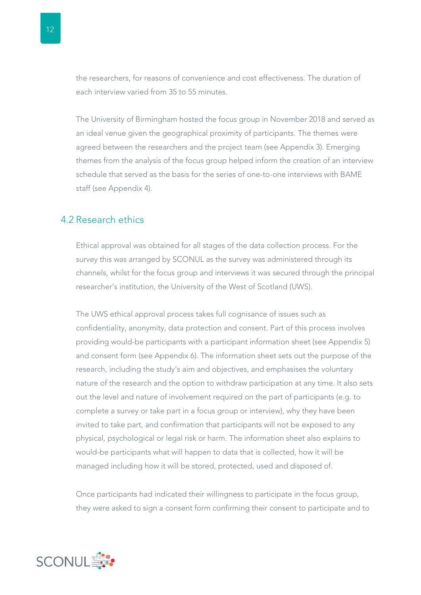<span id="page-13-0"></span>the researchers, for reasons of convenience and cost effectiveness. The duration of each interview varied from 35 to 55 minutes.

The University of Birmingham hosted the focus group in November 2018 and served as an ideal venue given the geographical proximity of participants. The themes were agreed between the researchers and the project team (see Appendix 3). Emerging themes from the analysis of the focus group helped inform the creation of an interview schedule that served as the basis for the series of one-to-one interviews with BAME staff (see Appendix 4).

#### 4.2 Research ethics

Ethical approval was obtained for all stages of the data collection process. For the survey this was arranged by SCONUL as the survey was administered through its channels, whilst for the focus group and interviews it was secured through the principal researcher's institution, the University of the West of Scotland (UWS).

The UWS ethical approval process takes full cognisance of issues such as confidentiality, anonymity, data protection and consent. Part of this process involves providing would-be participants with a participant information sheet (see Appendix 5) and consent form (see Appendix 6). The information sheet sets out the purpose of the research, including the study's aim and objectives, and emphasises the voluntary nature of the research and the option to withdraw participation at any time. It also sets out the level and nature of involvement required on the part of participants (e.g. to complete a survey or take part in a focus group or interview), why they have been invited to take part, and confirmation that participants will not be exposed to any physical, psychological or legal risk or harm. The information sheet also explains to would-be participants what will happen to data that is collected, how it will be managed including how it will be stored, protected, used and disposed of.

Once participants had indicated their willingness to participate in the focus group, they were asked to sign a consent form confirming their consent to participate and to

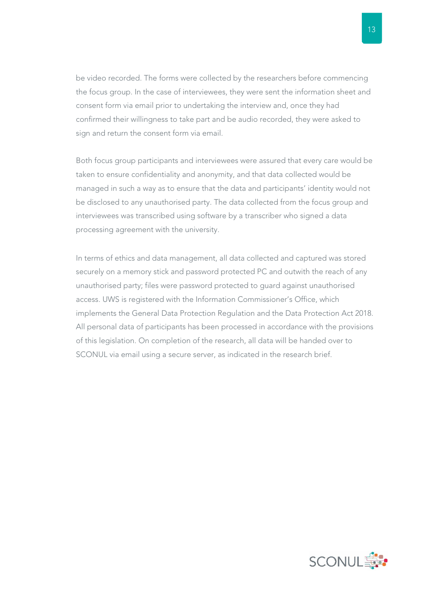be video recorded. The forms were collected by the researchers before commencing the focus group. In the case of interviewees, they were sent the information sheet and consent form via email prior to undertaking the interview and, once they had confirmed their willingness to take part and be audio recorded, they were asked to sign and return the consent form via email.

Both focus group participants and interviewees were assured that every care would be taken to ensure confidentiality and anonymity, and that data collected would be managed in such a way as to ensure that the data and participants' identity would not be disclosed to any unauthorised party. The data collected from the focus group and interviewees was transcribed using software by a transcriber who signed a data processing agreement with the university.

In terms of ethics and data management, all data collected and captured was stored securely on a memory stick and password protected PC and outwith the reach of any unauthorised party; files were password protected to guard against unauthorised access. UWS is registered with the Information Commissioner's Office, which implements the General Data Protection Regulation and the Data Protection Act 2018. All personal data of participants has been processed in accordance with the provisions of this legislation. On completion of the research, all data will be handed over to SCONUL via email using a secure server, as indicated in the research brief.



13

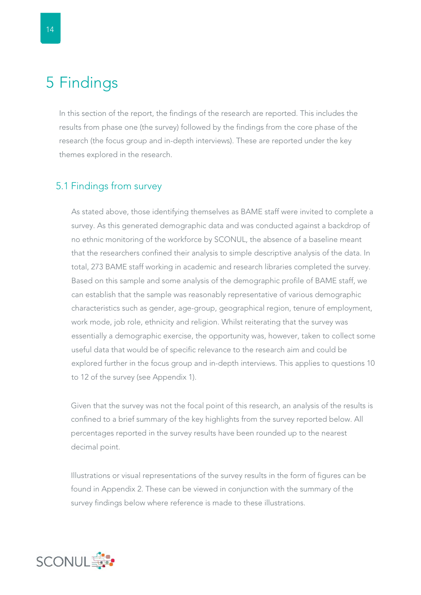### <span id="page-15-0"></span>5 Findings

In this section of the report, the findings of the research are reported. This includes the results from phase one (the survey) followed by the findings from the core phase of the research (the focus group and in-depth interviews). These are reported under the key themes explored in the research.

#### 5.1 Findings from survey

As stated above, those identifying themselves as BAME staff were invited to complete a survey. As this generated demographic data and was conducted against a backdrop of no ethnic monitoring of the workforce by SCONUL, the absence of a baseline meant that the researchers confined their analysis to simple descriptive analysis of the data. In total, 273 BAME staff working in academic and research libraries completed the survey. Based on this sample and some analysis of the demographic profile of BAME staff, we can establish that the sample was reasonably representative of various demographic characteristics such as gender, age-group, geographical region, tenure of employment, work mode, job role, ethnicity and religion. Whilst reiterating that the survey was essentially a demographic exercise, the opportunity was, however, taken to collect some useful data that would be of specific relevance to the research aim and could be explored further in the focus group and in-depth interviews. This applies to questions 10 to 12 of the survey (see Appendix 1).

Given that the survey was not the focal point of this research, an analysis of the results is confined to a brief summary of the key highlights from the survey reported below. All percentages reported in the survey results have been rounded up to the nearest decimal point.

Illustrations or visual representations of the survey results in the form of figures can be found in Appendix 2. These can be viewed in conjunction with the summary of the survey findings below where reference is made to these illustrations.

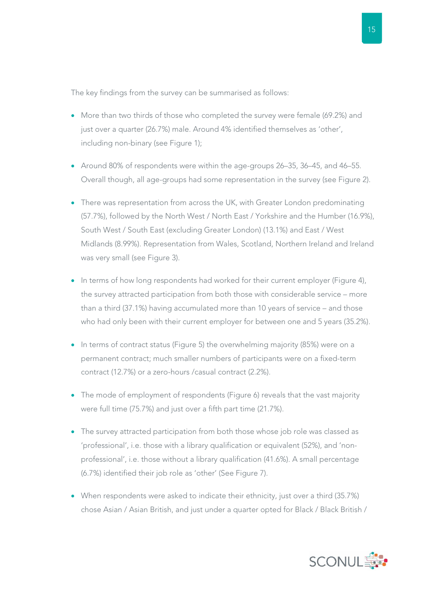The key findings from the survey can be summarised as follows:

- More than two thirds of those who completed the survey were female (69.2%) and just over a quarter (26.7%) male. Around 4% identified themselves as 'other', including non-binary (see Figure 1);
- Around 80% of respondents were within the age-groups 26–35, 36–45, and 46–55. Overall though, all age-groups had some representation in the survey (see Figure 2).
- There was representation from across the UK, with Greater London predominating (57.7%), followed by the North West / North East / Yorkshire and the Humber (16.9%), South West / South East (excluding Greater London) (13.1%) and East / West Midlands (8.99%). Representation from Wales, Scotland, Northern Ireland and Ireland was very small (see Figure 3).
- In terms of how long respondents had worked for their current employer (Figure 4), the survey attracted participation from both those with considerable service – more than a third (37.1%) having accumulated more than 10 years of service – and those who had only been with their current employer for between one and 5 years (35.2%).
- In terms of contract status (Figure 5) the overwhelming majority (85%) were on a permanent contract; much smaller numbers of participants were on a fixed-term contract (12.7%) or a zero-hours /casual contract (2.2%).
- The mode of employment of respondents (Figure 6) reveals that the vast majority were full time (75.7%) and just over a fifth part time (21.7%).
- The survey attracted participation from both those whose job role was classed as 'professional', i.e. those with a library qualification or equivalent (52%), and 'nonprofessional', i.e. those without a library qualification (41.6%). A small percentage (6.7%) identified their job role as 'other' (See Figure 7).
- When respondents were asked to indicate their ethnicity, just over a third (35.7%) chose Asian / Asian British, and just under a quarter opted for Black / Black British /

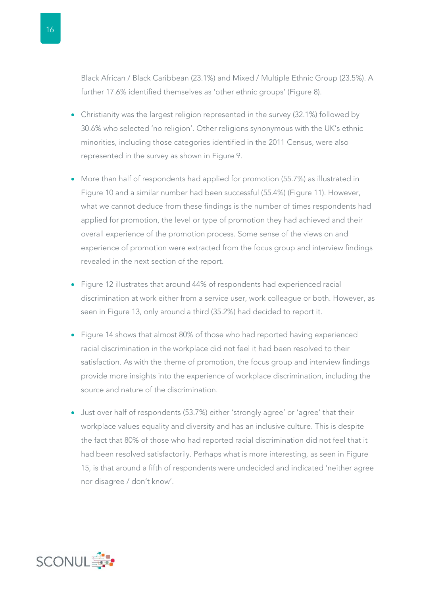Black African / Black Caribbean (23.1%) and Mixed / Multiple Ethnic Group (23.5%). A further 17.6% identified themselves as 'other ethnic groups' (Figure 8).

- Christianity was the largest religion represented in the survey (32.1%) followed by 30.6% who selected 'no religion'. Other religions synonymous with the UK's ethnic minorities, including those categories identified in the 2011 Census, were also represented in the survey as shown in Figure 9.
- More than half of respondents had applied for promotion (55.7%) as illustrated in Figure 10 and a similar number had been successful (55.4%) (Figure 11). However, what we cannot deduce from these findings is the number of times respondents had applied for promotion, the level or type of promotion they had achieved and their overall experience of the promotion process. Some sense of the views on and experience of promotion were extracted from the focus group and interview findings revealed in the next section of the report.
- Figure 12 illustrates that around 44% of respondents had experienced racial discrimination at work either from a service user, work colleague or both. However, as seen in Figure 13, only around a third (35.2%) had decided to report it.
- Figure 14 shows that almost 80% of those who had reported having experienced racial discrimination in the workplace did not feel it had been resolved to their satisfaction. As with the theme of promotion, the focus group and interview findings provide more insights into the experience of workplace discrimination, including the source and nature of the discrimination.
- Just over half of respondents (53.7%) either 'strongly agree' or 'agree' that their workplace values equality and diversity and has an inclusive culture. This is despite the fact that 80% of those who had reported racial discrimination did not feel that it had been resolved satisfactorily. Perhaps what is more interesting, as seen in Figure 15, is that around a fifth of respondents were undecided and indicated 'neither agree nor disagree / don't know'.

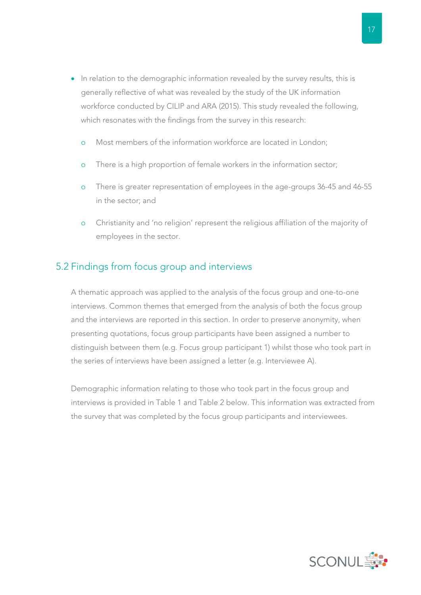- <span id="page-18-0"></span>• In relation to the demographic information revealed by the survey results, this is generally reflective of what was revealed by the study of the UK information workforce conducted by CILIP and ARA (2015). This study revealed the following, which resonates with the findings from the survey in this research:
	- o Most members of the information workforce are located in London;
	- o There is a high proportion of female workers in the information sector;
	- o There is greater representation of employees in the age-groups 36-45 and 46-55 in the sector; and
	- o Christianity and 'no religion' represent the religious affiliation of the majority of employees in the sector.

#### 5.2 Findings from focus group and interviews

A thematic approach was applied to the analysis of the focus group and one-to-one interviews. Common themes that emerged from the analysis of both the focus group and the interviews are reported in this section. In order to preserve anonymity, when presenting quotations, focus group participants have been assigned a number to distinguish between them (e.g. Focus group participant 1) whilst those who took part in the series of interviews have been assigned a letter (e.g. Interviewee A).

Demographic information relating to those who took part in the focus group and interviews is provided in Table 1 and Table 2 below. This information was extracted from the survey that was completed by the focus group participants and interviewees.

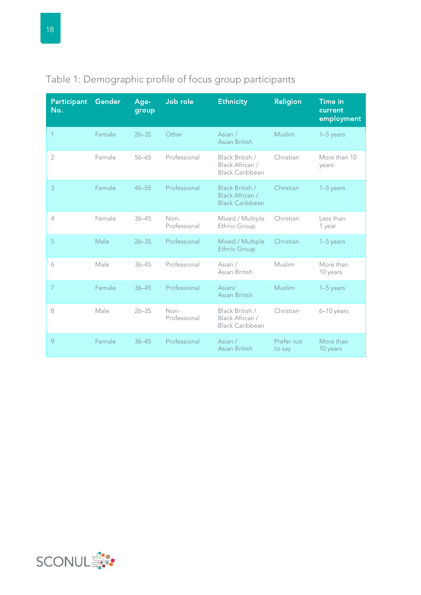| <b>Participant</b><br>No. | Gender | Age-<br>group | Job role             | <b>Ethnicity</b>                                             | <b>Religion</b>      | <b>Time in</b><br>current<br>employment |
|---------------------------|--------|---------------|----------------------|--------------------------------------------------------------|----------------------|-----------------------------------------|
|                           | Female | $26 - 35$     | Other                | Asian /<br>Asian British                                     | <b>Muslim</b>        | 1-5 years                               |
| $\overline{2}$            | Female | $56 - 65$     | Professional         | Black British /<br>Black African /<br><b>Black Caribbean</b> | Christian            | More than 10<br>years                   |
| 3                         | Female | $46 - 55$     | Professional         | Black British /<br>Black African /<br><b>Black Caribbean</b> | Christian            | $1-5$ years                             |
| 4                         | Female | $36 - 45$     | Non-<br>Professional | Mixed / Multiple<br>Ethnic Group                             | Christian            | Less than<br>1 year                     |
| 5                         | Male   | $26 - 35$     | Professional         | Mixed / Multiple<br><b>Ethnic Group</b>                      | Christian            | $1-5$ years                             |
| 6                         | Male   | $36 - 45$     | Professional         | Asian /<br>Asian British                                     | Muslim               | More than<br>10 years                   |
| $\overline{7}$            | Female | $36 - 45$     | Professional         | Asian/<br>Asian British                                      | Muslim               | $1-5$ years                             |
| 8                         | Male   | $26 - 35$     | Non-<br>Professional | Black British /<br>Black African /<br><b>Black Caribbean</b> | Christian            | 6-10 years                              |
| 9                         | Female | $36 - 45$     | Professional         | Asian /<br>Asian British                                     | Prefer not<br>to say | More than<br>10 years                   |

### <span id="page-19-0"></span>Table 1: Demographic profile of focus group participants

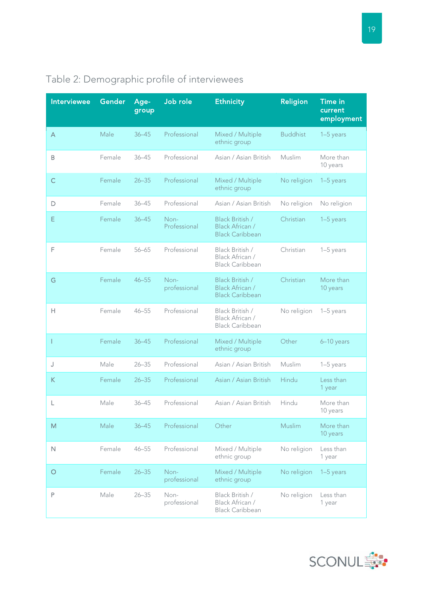| <b>Interviewee</b> | Gender | Age-<br>group | Job role             | <b>Ethnicity</b>                                                           | <b>Religion</b> | <b>Time in</b><br>current<br>employment |
|--------------------|--------|---------------|----------------------|----------------------------------------------------------------------------|-----------------|-----------------------------------------|
| A                  | Male   | $36 - 45$     | Professional         | Mixed / Multiple<br>ethnic group                                           | <b>Buddhist</b> | 1-5 years                               |
| B                  | Female | $36 - 45$     | Professional         | Asian / Asian British                                                      | Muslim          | More than<br>10 years                   |
| C                  | Female | $26 - 35$     | Professional         | Mixed / Multiple<br>ethnic group                                           | No religion     | $1-5$ years                             |
| D                  | Female | $36 - 45$     | Professional         | Asian / Asian British                                                      | No religion     | No religion                             |
| Ε                  | Female | $36 - 45$     | Non-<br>Professional | Black British /<br>Black African /<br><b>Black Caribbean</b>               | Christian       | 1-5 years                               |
| F                  | Female | $56 - 65$     | Professional         | Black British /<br>Black African /<br>Black Caribbean                      | Christian       | 1-5 years                               |
| G                  | Female | $46 - 55$     | Non-<br>professional | <b>Black British /</b><br><b>Black African /</b><br><b>Black Caribbean</b> | Christian       | More than<br>10 years                   |
| Н                  | Female | $46 - 55$     | Professional         | Black British /<br>Black African /<br><b>Black Caribbean</b>               | No religion     | $1-5$ years                             |
|                    | Female | $36 - 45$     | Professional         | Mixed / Multiple<br>ethnic group                                           | Other           | 6-10 years                              |
| J                  | Male   | $26 - 35$     | Professional         | Asian / Asian British                                                      | Muslim          | 1-5 years                               |
| Κ                  | Female | $26 - 35$     | Professional         | Asian / Asian British                                                      | Hindu           | Less than<br>1 year                     |
| L                  | Male   | $36 - 45$     | Professional         | Asian / Asian British                                                      | Hindu           | More than<br>10 years                   |
| M                  | Male   | $36 - 45$     | Professional         | Other                                                                      | Muslim          | More than<br>10 years                   |
| $\mathsf{N}$       | Female | $46 - 55$     | Professional         | Mixed / Multiple<br>ethnic group                                           | No religion     | Less than<br>1 year                     |
| $\circ$            | Female | $26 - 35$     | Non-<br>professional | Mixed / Multiple<br>ethnic group                                           | No religion     | 1-5 years                               |
| P                  | Male   | $26 - 35$     | Non-<br>professional | Black British /<br>Black African /<br><b>Black Caribbean</b>               | No religion     | Less than<br>1 year                     |

### <span id="page-20-0"></span>Table 2: Demographic profile of interviewees

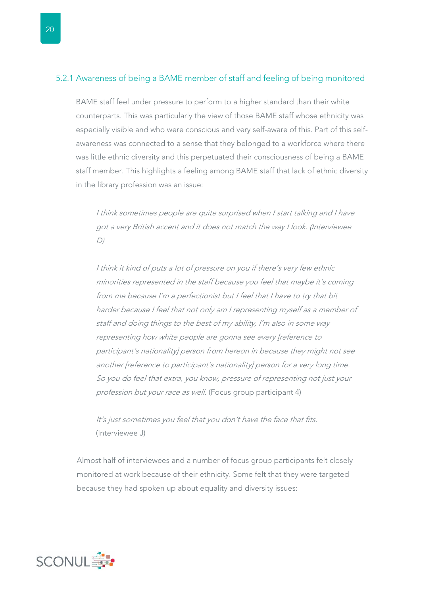#### <span id="page-21-0"></span>5.2.1 Awareness of being a BAME member of staff and feeling of being monitored

BAME staff feel under pressure to perform to a higher standard than their white counterparts. This was particularly the view of those BAME staff whose ethnicity was especially visible and who were conscious and very self-aware of this. Part of this selfawareness was connected to a sense that they belonged to a workforce where there was little ethnic diversity and this perpetuated their consciousness of being a BAME staff member. This highlights a feeling among BAME staff that lack of ethnic diversity in the library profession was an issue:

I think sometimes people are quite surprised when I start talking and I have got a very British accent and it does not match the way I look. (Interviewee  $D$ 

I think it kind of puts a lot of pressure on you if there's very few ethnic minorities represented in the staff because you feel that maybe it's coming from me because I'm a perfectionist but I feel that I have to try that bit harder because I feel that not only am I representing myself as a member of staff and doing things to the best of my ability, I'm also in some way representing how white people are gonna see every [reference to participant's nationality] person from hereon in because they might not see another [reference to participant's nationality] person for a very long time. So you do feel that extra, you know, pressure of representing not just your profession but your race as well. (Focus group participant 4)

It's just sometimes you feel that you don't have the face that fits. (Interviewee J)

Almost half of interviewees and a number of focus group participants felt closely monitored at work because of their ethnicity. Some felt that they were targeted because they had spoken up about equality and diversity issues:

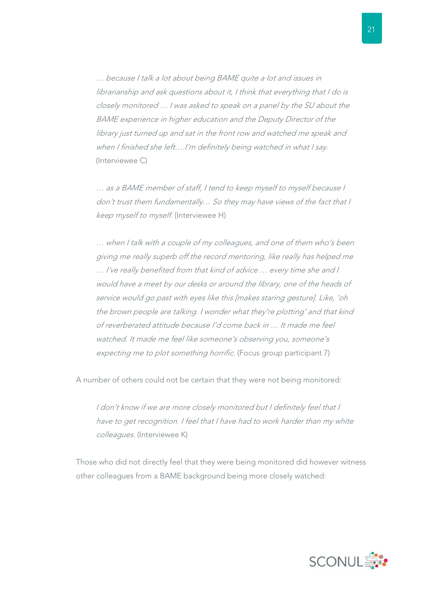… because I talk a lot about being BAME quite a lot and issues in librarianship and ask questions about it, I think that everything that I do is closely monitored … I was asked to speak on a panel by the SU about the BAME experience in higher education and the Deputy Director of the library just turned up and sat in the front row and watched me speak and when I finished she left....I'm definitely being watched in what I say. (Interviewee C)

… as a BAME member of staff, I tend to keep myself to myself because I don't trust them fundamentally… So they may have views of the fact that I keep myself to myself. (Interviewee H)

… when I talk with a couple of my colleagues, and one of them who's been giving me really superb off the record mentoring, like really has helped me … I've really benefited from that kind of advice … every time she and I would have a meet by our desks or around the library, one of the heads of service would go past with eyes like this [makes staring gesture]. Like, 'oh the brown people are talking. I wonder what they're plotting' and that kind of reverberated attitude because I'd come back in … It made me feel watched. It made me feel like someone's observing you, someone's expecting me to plot something horrific. (Focus group participant 7)

A number of others could not be certain that they were not being monitored:

I don't know if we are more closely monitored but I definitely feel that I have to get recognition. I feel that I have had to work harder than my white colleagues. (Interviewee K)

Those who did not directly feel that they were being monitored did however witness other colleagues from a BAME background being more closely watched:

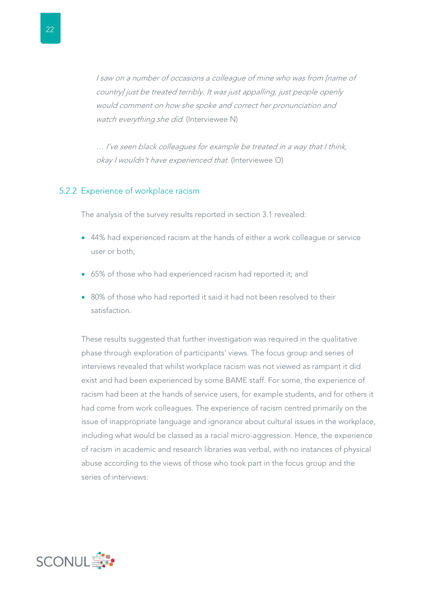<span id="page-23-0"></span>I saw on a number of occasions a colleague of mine who was from [name of country] just be treated terribly. It was just appalling, just people openly would comment on how she spoke and correct her pronunciation and watch everything she did. (Interviewee N)

… I've seen black colleagues for example be treated in a way that I think, okay I wouldn't have experienced that. (Interviewee O)

#### 5.2.2 Experience of workplace racism

The analysis of the survey results reported in section 3.1 revealed:

- 44% had experienced racism at the hands of either a work colleague or service user or both;
- 65% of those who had experienced racism had reported it; and
- 80% of those who had reported it said it had not been resolved to their satisfaction.

These results suggested that further investigation was required in the qualitative phase through exploration of participants' views. The focus group and series of interviews revealed that whilst workplace racism was not viewed as rampant it did exist and had been experienced by some BAME staff. For some, the experience of racism had been at the hands of service users, for example students, and for others it had come from work colleagues. The experience of racism centred primarily on the issue of inappropriate language and ignorance about cultural issues in the workplace, including what would be classed as a racial micro-aggression. Hence, the experience of racism in academic and research libraries was verbal, with no instances of physical abuse according to the views of those who took part in the focus group and the series of interviews:

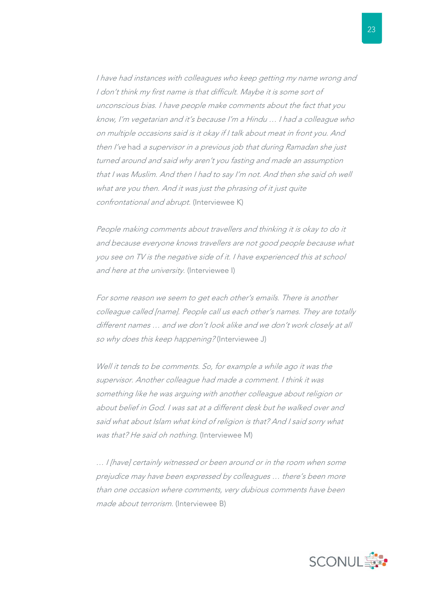I have had instances with colleagues who keep getting my name wrong and I don't think my first name is that difficult. Maybe it is some sort of unconscious bias. I have people make comments about the fact that you know, I'm vegetarian and it's because I'm a Hindu … I had a colleague who on multiple occasions said is it okay if I talk about meat in front you. And then I've had a supervisor in a previous job that during Ramadan she just turned around and said why aren't you fasting and made an assumption that I was Muslim. And then I had to say I'm not. And then she said oh well what are you then. And it was just the phrasing of it just quite confrontational and abrupt. (Interviewee K)

People making comments about travellers and thinking it is okay to do it and because everyone knows travellers are not good people because what you see on TV is the negative side of it. I have experienced this at school and here at the university. (Interviewee I)

For some reason we seem to get each other's emails. There is another colleague called [name]. People call us each other's names. They are totally different names … and we don't look alike and we don't work closely at all so why does this keep happening? (Interviewee J)

Well it tends to be comments. So, for example a while ago it was the supervisor. Another colleague had made a comment. I think it was something like he was arguing with another colleague about religion or about belief in God. I was sat at a different desk but he walked over and said what about Islam what kind of religion is that? And I said sorry what was that? He said oh nothing. (Interviewee M)

… I [have] certainly witnessed or been around or in the room when some prejudice may have been expressed by colleagues … there's been more than one occasion where comments, very dubious comments have been made about terrorism. (Interviewee B)

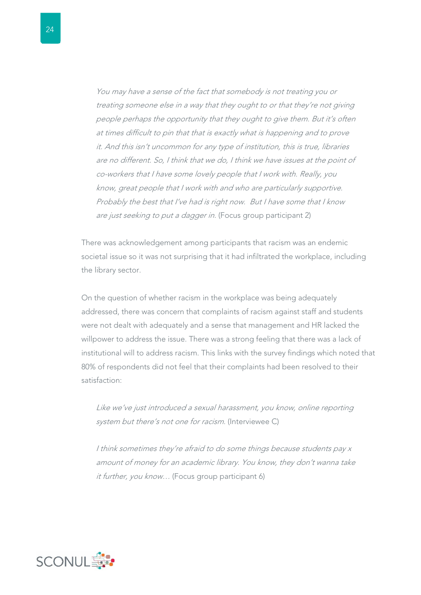You may have a sense of the fact that somebody is not treating you or treating someone else in a way that they ought to or that they're not giving people perhaps the opportunity that they ought to give them. But it's often at times difficult to pin that that is exactly what is happening and to prove it. And this isn't uncommon for any type of institution, this is true, libraries are no different. So, I think that we do, I think we have issues at the point of co-workers that I have some lovely people that I work with. Really, you know, great people that I work with and who are particularly supportive. Probably the best that I've had is right now. But I have some that I know are just seeking to put a dagger in. (Focus group participant 2)

There was acknowledgement among participants that racism was an endemic societal issue so it was not surprising that it had infiltrated the workplace, including the library sector.

On the question of whether racism in the workplace was being adequately addressed, there was concern that complaints of racism against staff and students were not dealt with adequately and a sense that management and HR lacked the willpower to address the issue. There was a strong feeling that there was a lack of institutional will to address racism. This links with the survey findings which noted that 80% of respondents did not feel that their complaints had been resolved to their satisfaction:

Like we've just introduced a sexual harassment, you know, online reporting system but there's not one for racism. (Interviewee C)

I think sometimes they're afraid to do some things because students pay x amount of money for an academic library. You know, they don't wanna take it further, you know... (Focus group participant 6)

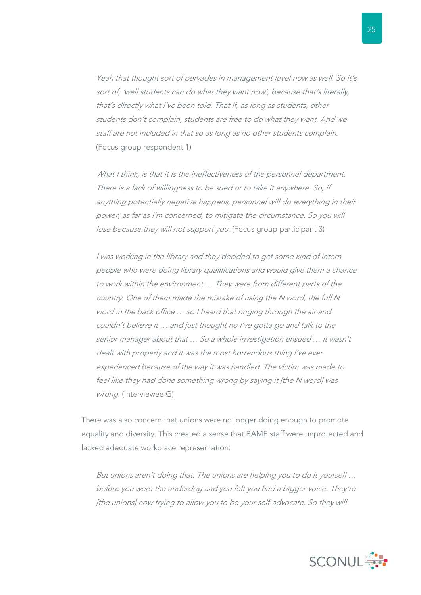Yeah that thought sort of pervades in management level now as well. So it's sort of, 'well students can do what they want now', because that's literally, that's directly what I've been told. That if, as long as students, other students don't complain, students are free to do what they want. And we staff are not included in that so as long as no other students complain. (Focus group respondent 1)

What I think, is that it is the ineffectiveness of the personnel department. There is a lack of willingness to be sued or to take it anywhere. So, if anything potentially negative happens, personnel will do everything in their power, as far as I'm concerned, to mitigate the circumstance. So you will lose because they will not support you. (Focus group participant 3)

I was working in the library and they decided to get some kind of intern people who were doing library qualifications and would give them a chance to work within the environment … They were from different parts of the country. One of them made the mistake of using the N word, the full N word in the back office … so I heard that ringing through the air and couldn't believe it … and just thought no I've gotta go and talk to the senior manager about that … So a whole investigation ensued … It wasn't dealt with properly and it was the most horrendous thing I've ever experienced because of the way it was handled. The victim was made to feel like they had done something wrong by saying it [the N word] was wrong. (Interviewee G)

There was also concern that unions were no longer doing enough to promote equality and diversity. This created a sense that BAME staff were unprotected and lacked adequate workplace representation:

But unions aren't doing that. The unions are helping you to do it yourself … before you were the underdog and you felt you had a bigger voice. They're [the unions] now trying to allow you to be your self-advocate. So they will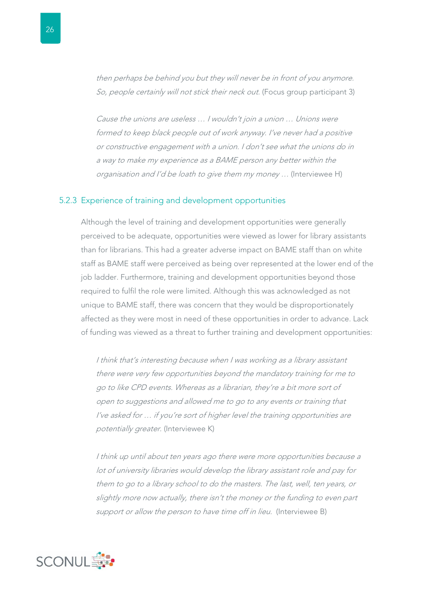<span id="page-27-0"></span>then perhaps be behind you but they will never be in front of you anymore. So, people certainly will not stick their neck out. (Focus group participant 3)

Cause the unions are useless … I wouldn't join a union … Unions were formed to keep black people out of work anyway. I've never had a positive or constructive engagement with a union. I don't see what the unions do in a way to make my experience as a BAME person any better within the organisation and I'd be loath to give them my money … (Interviewee H)

#### 5.2.3 Experience of training and development opportunities

Although the level of training and development opportunities were generally perceived to be adequate, opportunities were viewed as lower for library assistants than for librarians. This had a greater adverse impact on BAME staff than on white staff as BAME staff were perceived as being over represented at the lower end of the job ladder. Furthermore, training and development opportunities beyond those required to fulfil the role were limited. Although this was acknowledged as not unique to BAME staff, there was concern that they would be disproportionately affected as they were most in need of these opportunities in order to advance. Lack of funding was viewed as a threat to further training and development opportunities:

I think that's interesting because when I was working as a library assistant there were very few opportunities beyond the mandatory training for me to go to like CPD events. Whereas as a librarian, they're a bit more sort of open to suggestions and allowed me to go to any events or training that I've asked for … if you're sort of higher level the training opportunities are potentially greater. (Interviewee K)

I think up until about ten years ago there were more opportunities because a lot of university libraries would develop the library assistant role and pay for them to go to a library school to do the masters. The last, well, ten years, or slightly more now actually, there isn't the money or the funding to even part support or allow the person to have time off in lieu. (Interviewee B)

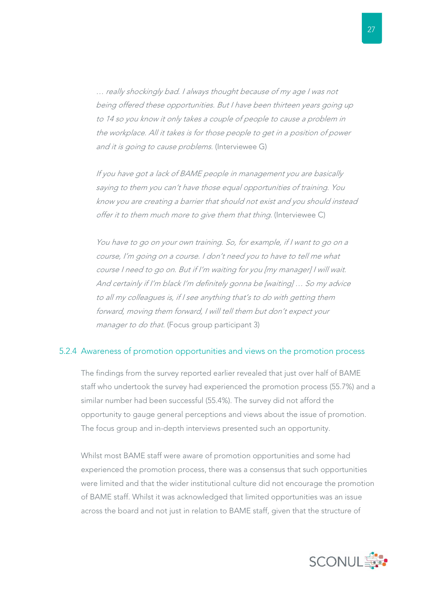<span id="page-28-0"></span>… really shockingly bad. I always thought because of my age I was not being offered these opportunities. But I have been thirteen years going up to 14 so you know it only takes a couple of people to cause a problem in the workplace. All it takes is for those people to get in a position of power and it is going to cause problems. (Interviewee G)

If you have got a lack of BAME people in management you are basically saying to them you can't have those equal opportunities of training. You know you are creating a barrier that should not exist and you should instead offer it to them much more to give them that thing. (Interviewee C)

You have to go on your own training. So, for example, if I want to go on a course, I'm going on a course. I don't need you to have to tell me what course I need to go on. But if I'm waiting for you [my manager] I will wait. And certainly if I'm black I'm definitely gonna be [waiting] … So my advice to all my colleagues is, if I see anything that's to do with getting them forward, moving them forward, I will tell them but don't expect your manager to do that. (Focus group participant 3)

#### 5.2.4 Awareness of promotion opportunities and views on the promotion process

The findings from the survey reported earlier revealed that just over half of BAME staff who undertook the survey had experienced the promotion process (55.7%) and a similar number had been successful (55.4%). The survey did not afford the opportunity to gauge general perceptions and views about the issue of promotion. The focus group and in-depth interviews presented such an opportunity.

Whilst most BAME staff were aware of promotion opportunities and some had experienced the promotion process, there was a consensus that such opportunities were limited and that the wider institutional culture did not encourage the promotion of BAME staff. Whilst it was acknowledged that limited opportunities was an issue across the board and not just in relation to BAME staff, given that the structure of

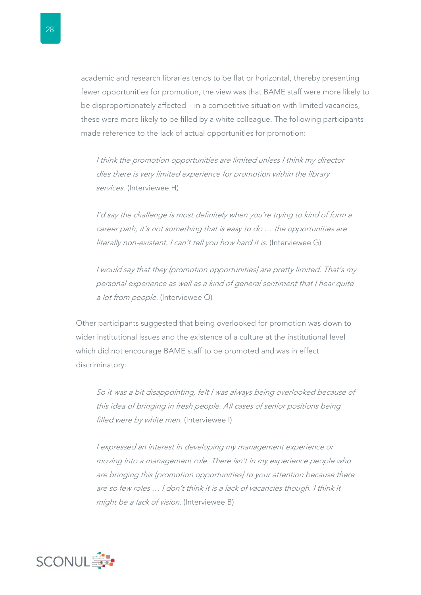academic and research libraries tends to be flat or horizontal, thereby presenting fewer opportunities for promotion, the view was that BAME staff were more likely to be disproportionately affected – in a competitive situation with limited vacancies, these were more likely to be filled by a white colleague. The following participants made reference to the lack of actual opportunities for promotion:

I think the promotion opportunities are limited unless I think my director dies there is very limited experience for promotion within the library services. (Interviewee H)

I'd say the challenge is most definitely when you're trying to kind of form a career path, it's not something that is easy to do … the opportunities are literally non-existent. I can't tell you how hard it is. (Interviewee G)

I would say that they [promotion opportunities] are pretty limited. That's my personal experience as well as a kind of general sentiment that I hear quite a lot from people. (Interviewee O)

Other participants suggested that being overlooked for promotion was down to wider institutional issues and the existence of a culture at the institutional level which did not encourage BAME staff to be promoted and was in effect discriminatory:

So it was a bit disappointing, felt I was always being overlooked because of this idea of bringing in fresh people. All cases of senior positions being filled were by white men. (Interviewee I)

I expressed an interest in developing my management experience or moving into a management role. There isn't in my experience people who are bringing this [promotion opportunities] to your attention because there are so few roles … I don't think it is a lack of vacancies though. I think it might be a lack of vision. (Interviewee B)

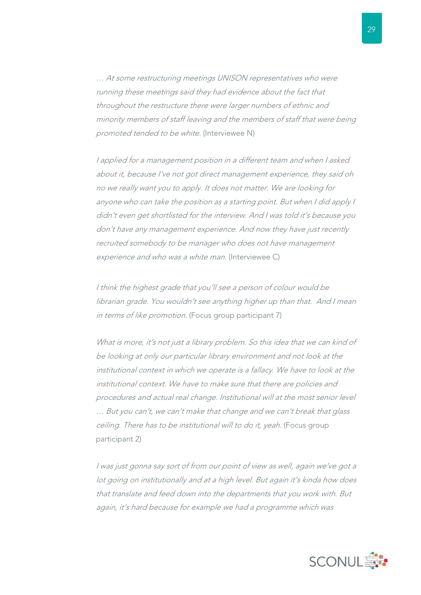… At some restructuring meetings UNISON representatives who were running these meetings said they had evidence about the fact that throughout the restructure there were larger numbers of ethnic and minority members of staff leaving and the members of staff that were being promoted tended to be white. (Interviewee N)

I applied for a management position in a different team and when I asked about it, because I've not got direct management experience, they said oh no we really want you to apply. It does not matter. We are looking for anyone who can take the position as a starting point. But when I did apply I didn't even get shortlisted for the interview. And I was told it's because you don't have any management experience. And now they have just recently recruited somebody to be manager who does not have management experience and who was a white man. (Interviewee C)

I think the highest grade that you'll see a person of colour would be librarian grade. You wouldn't see anything higher up than that. And I mean in terms of like promotion. (Focus group participant 7)

What is more, it's not just a library problem. So this idea that we can kind of be looking at only our particular library environment and not look at the institutional context in which we operate is a fallacy. We have to look at the institutional context. We have to make sure that there are policies and procedures and actual real change. Institutional will at the most senior level … But you can't, we can't make that change and we can't break that glass ceiling. There has to be institutional will to do it, yeah. (Focus group participant 2)

I was just gonna say sort of from our point of view as well, again we've got a lot going on institutionally and at a high level. But again it's kinda how does that translate and feed down into the departments that you work with. But again, it's hard because for example we had a programme which was

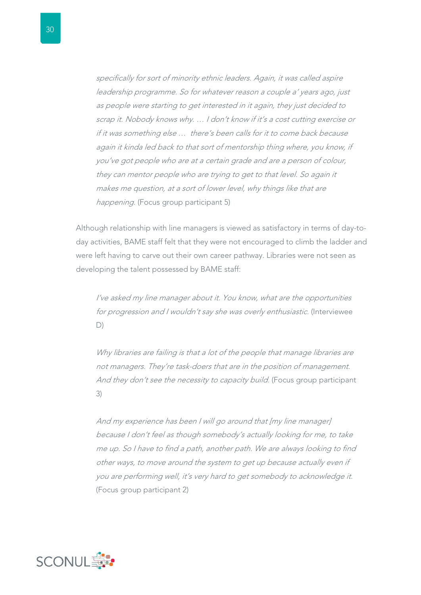specifically for sort of minority ethnic leaders. Again, it was called aspire leadership programme. So for whatever reason a couple a' years ago, just as people were starting to get interested in it again, they just decided to scrap it. Nobody knows why. … I don't know if it's a cost cutting exercise or if it was something else … there's been calls for it to come back because again it kinda led back to that sort of mentorship thing where, you know, if you've got people who are at a certain grade and are a person of colour, they can mentor people who are trying to get to that level. So again it makes me question, at a sort of lower level, why things like that are happening. (Focus group participant 5)

Although relationship with line managers is viewed as satisfactory in terms of day-today activities, BAME staff felt that they were not encouraged to climb the ladder and were left having to carve out their own career pathway. Libraries were not seen as developing the talent possessed by BAME staff:

I've asked my line manager about it. You know, what are the opportunities for progression and I wouldn't say she was overly enthusiastic. (Interviewee D)

Why libraries are failing is that a lot of the people that manage libraries are not managers. They're task-doers that are in the position of management. And they don't see the necessity to capacity build. (Focus group participant 3)

And my experience has been I will go around that [my line manager] because I don't feel as though somebody's actually looking for me, to take me up. So I have to find a path, another path. We are always looking to find other ways, to move around the system to get up because actually even if you are performing well, it's very hard to get somebody to acknowledge it. (Focus group participant 2)

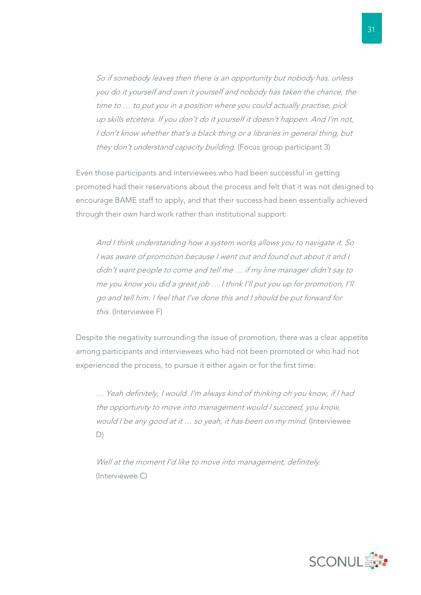So if somebody leaves then there is an opportunity but nobody has, unless you do it yourself and own it yourself and nobody has taken the chance, the time to … to put you in a position where you could actually practise, pick up skills etcetera. If you don't do it yourself it doesn't happen. And I'm not, I don't know whether that's a black thing or a libraries in general thing, but they don't understand capacity building. (Focus group participant 3)

Even those participants and interviewees who had been successful in getting promoted had their reservations about the process and felt that it was not designed to encourage BAME staff to apply, and that their success had been essentially achieved through their own hard work rather than institutional support:

And I think understanding how a system works allows you to navigate it. So I was aware of promotion because I went out and found out about it and I didn't want people to come and tell me … if my line manager didn't say to me you know you did a great job … I think I'll put you up for promotion, I'll go and tell him. I feel that I've done this and I should be put forward for this. (Interviewee F)

Despite the negativity surrounding the issue of promotion, there was a clear appetite among participants and interviewees who had not been promoted or who had not experienced the process, to pursue it either again or for the first time:

… Yeah definitely, I would. I'm always kind of thinking oh you know, if I had the opportunity to move into management would I succeed, you know, would I be any good at it … so yeah, it has been on my mind. (Interviewee D)

Well at the moment I'd like to move into management, definitely. (Interviewee C)

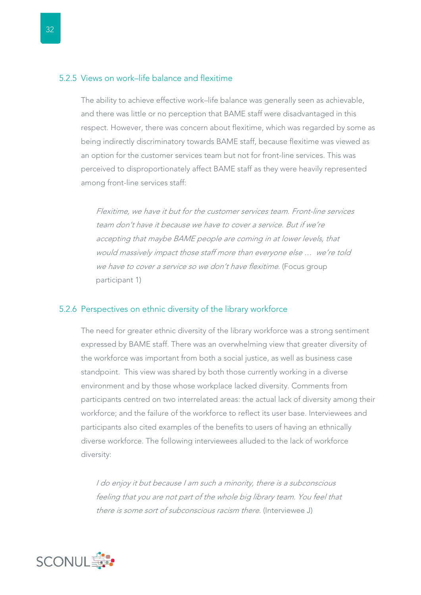#### <span id="page-33-0"></span>5.2.5 Views on work–life balance and flexitime

The ability to achieve effective work–life balance was generally seen as achievable, and there was little or no perception that BAME staff were disadvantaged in this respect. However, there was concern about flexitime, which was regarded by some as being indirectly discriminatory towards BAME staff, because flexitime was viewed as an option for the customer services team but not for front-line services. This was perceived to disproportionately affect BAME staff as they were heavily represented among front-line services staff:

Flexitime, we have it but for the customer services team. Front-line services team don't have it because we have to cover a service. But if we're accepting that maybe BAME people are coming in at lower levels, that would massively impact those staff more than everyone else … we're told we have to cover a service so we don't have flexitime. (Focus group participant 1)

#### 5.2.6 Perspectives on ethnic diversity of the library workforce

The need for greater ethnic diversity of the library workforce was a strong sentiment expressed by BAME staff. There was an overwhelming view that greater diversity of the workforce was important from both a social justice, as well as business case standpoint. This view was shared by both those currently working in a diverse environment and by those whose workplace lacked diversity. Comments from participants centred on two interrelated areas: the actual lack of diversity among their workforce; and the failure of the workforce to reflect its user base. Interviewees and participants also cited examples of the benefits to users of having an ethnically diverse workforce. The following interviewees alluded to the lack of workforce diversity:

I do enjoy it but because I am such a minority, there is a subconscious feeling that you are not part of the whole big library team. You feel that there is some sort of subconscious racism there. (Interviewee J)

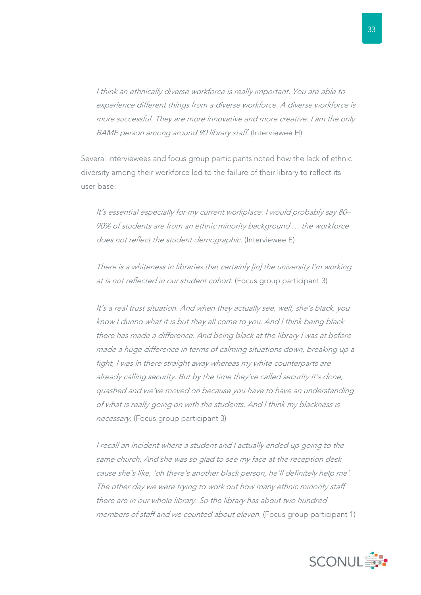I think an ethnically diverse workforce is really important. You are able to experience different things from a diverse workforce. A diverse workforce is more successful. They are more innovative and more creative. I am the only BAME person among around 90 library staff. (Interviewee H)

Several interviewees and focus group participants noted how the lack of ethnic diversity among their workforce led to the failure of their library to reflect its user base:

It's essential especially for my current workplace. I would probably say 80– 90% of students are from an ethnic minority background … the workforce does not reflect the student demographic. (Interviewee E)

There is a whiteness in libraries that certainly [in] the university I'm working at is not reflected in our student cohort. (Focus group participant 3)

It's a real trust situation. And when they actually see, well, she's black, you know I dunno what it is but they all come to you. And I think being black there has made a difference. And being black at the library I was at before made a huge difference in terms of calming situations down, breaking up a fight, I was in there straight away whereas my white counterparts are already calling security. But by the time they've called security it's done, quashed and we've moved on because you have to have an understanding of what is really going on with the students. And I think my blackness is necessary. (Focus group participant 3)

I recall an incident where a student and I actually ended up going to the same church. And she was so glad to see my face at the reception desk cause she's like, 'oh there's another black person, he'll definitely help me'. The other day we were trying to work out how many ethnic minority staff there are in our whole library. So the library has about two hundred members of staff and we counted about eleven. (Focus group participant 1)

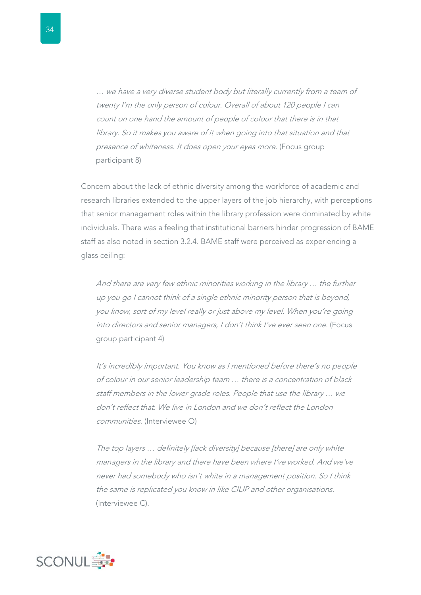… we have a very diverse student body but literally currently from a team of twenty I'm the only person of colour. Overall of about 120 people I can count on one hand the amount of people of colour that there is in that library. So it makes you aware of it when going into that situation and that presence of whiteness. It does open your eyes more. (Focus group participant 8)

Concern about the lack of ethnic diversity among the workforce of academic and research libraries extended to the upper layers of the job hierarchy, with perceptions that senior management roles within the library profession were dominated by white individuals. There was a feeling that institutional barriers hinder progression of BAME staff as also noted in section 3.2.4. BAME staff were perceived as experiencing a glass ceiling:

And there are very few ethnic minorities working in the library … the further up you go I cannot think of a single ethnic minority person that is beyond, you know, sort of my level really or just above my level. When you're going into directors and senior managers, I don't think I've ever seen one. (Focus group participant 4)

It's incredibly important. You know as I mentioned before there's no people of colour in our senior leadership team … there is a concentration of black staff members in the lower grade roles. People that use the library … we don't reflect that. We live in London and we don't reflect the London communities. (Interviewee O)

The top layers ... definitely [lack diversity] because [there] are only white managers in the library and there have been where I've worked. And we've never had somebody who isn't white in a management position. So I think the same is replicated you know in like CILIP and other organisations. (Interviewee C).

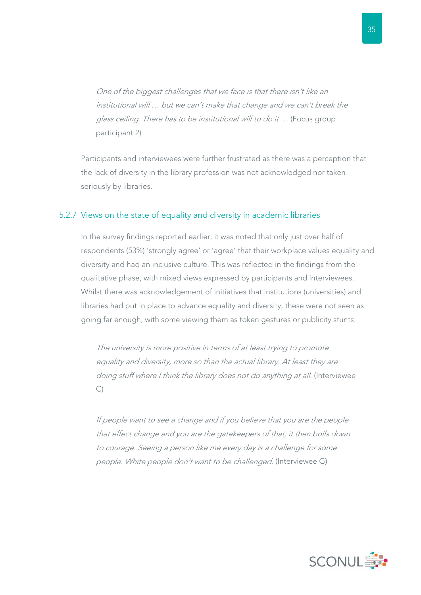One of the biggest challenges that we face is that there isn't like an institutional will … but we can't make that change and we can't break the glass ceiling. There has to be institutional will to do it … (Focus group participant 2)

Participants and interviewees were further frustrated as there was a perception that the lack of diversity in the library profession was not acknowledged nor taken seriously by libraries.

#### 5.2.7 Views on the state of equality and diversity in academic libraries

In the survey findings reported earlier, it was noted that only just over half of respondents (53%) 'strongly agree' or 'agree' that their workplace values equality and diversity and had an inclusive culture. This was reflected in the findings from the qualitative phase, with mixed views expressed by participants and interviewees. Whilst there was acknowledgement of initiatives that institutions (universities) and libraries had put in place to advance equality and diversity, these were not seen as going far enough, with some viewing them as token gestures or publicity stunts:

The university is more positive in terms of at least trying to promote equality and diversity, more so than the actual library. At least they are doing stuff where I think the library does not do anything at all. (Interviewee C)

If people want to see a change and if you believe that you are the people that effect change and you are the gatekeepers of that, it then boils down to courage. Seeing a person like me every day is a challenge for some people. White people don't want to be challenged. (Interviewee G)

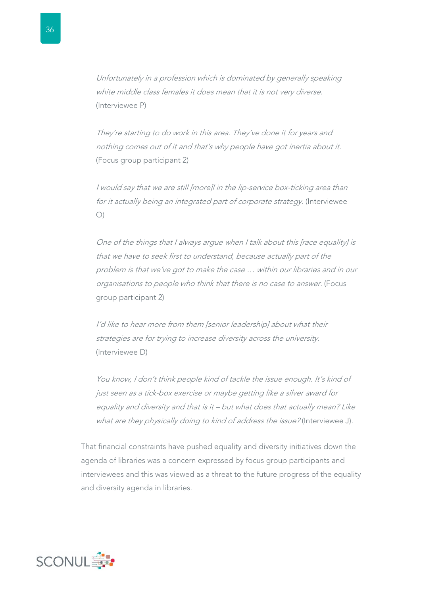Unfortunately in a profession which is dominated by generally speaking white middle class females it does mean that it is not very diverse. (Interviewee P)

They're starting to do work in this area. They've done it for years and nothing comes out of it and that's why people have got inertia about it. (Focus group participant 2)

I would say that we are still [more]l in the lip-service box-ticking area than for it actually being an integrated part of corporate strategy. (Interviewee O)

One of the things that I always argue when I talk about this [race equality] is that we have to seek first to understand, because actually part of the problem is that we've got to make the case … within our libraries and in our organisations to people who think that there is no case to answer. (Focus group participant 2)

I'd like to hear more from them [senior leadership] about what their strategies are for trying to increase diversity across the university. (Interviewee D)

You know, I don't think people kind of tackle the issue enough. It's kind of just seen as a tick-box exercise or maybe getting like a silver award for equality and diversity and that is it – but what does that actually mean? Like what are they physically doing to kind of address the issue? (Interviewee J).

That financial constraints have pushed equality and diversity initiatives down the agenda of libraries was a concern expressed by focus group participants and interviewees and this was viewed as a threat to the future progress of the equality and diversity agenda in libraries.

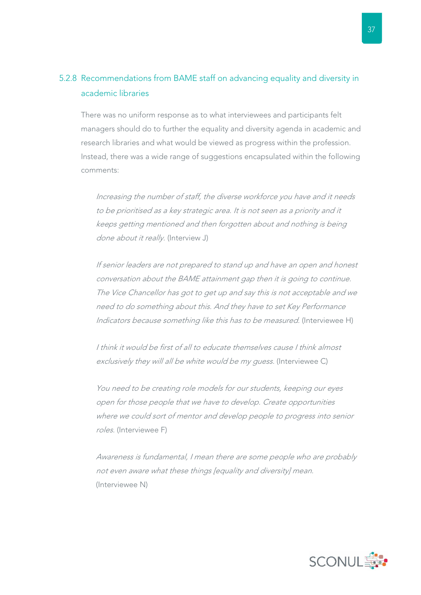### 5.2.8 Recommendations from BAME staff on advancing equality and diversity in academic libraries

There was no uniform response as to what interviewees and participants felt managers should do to further the equality and diversity agenda in academic and research libraries and what would be viewed as progress within the profession. Instead, there was a wide range of suggestions encapsulated within the following comments:

Increasing the number of staff, the diverse workforce you have and it needs to be prioritised as a key strategic area. It is not seen as a priority and it keeps getting mentioned and then forgotten about and nothing is being done about it really. (Interview J)

If senior leaders are not prepared to stand up and have an open and honest conversation about the BAME attainment gap then it is going to continue. The Vice Chancellor has got to get up and say this is not acceptable and we need to do something about this. And they have to set Key Performance Indicators because something like this has to be measured. (Interviewee H)

I think it would be first of all to educate themselves cause I think almost exclusively they will all be white would be my quess. (Interviewee C)

You need to be creating role models for our students, keeping our eyes open for those people that we have to develop. Create opportunities where we could sort of mentor and develop people to progress into senior roles. (Interviewee F)

Awareness is fundamental, I mean there are some people who are probably not even aware what these things [equality and diversity] mean. (Interviewee N)

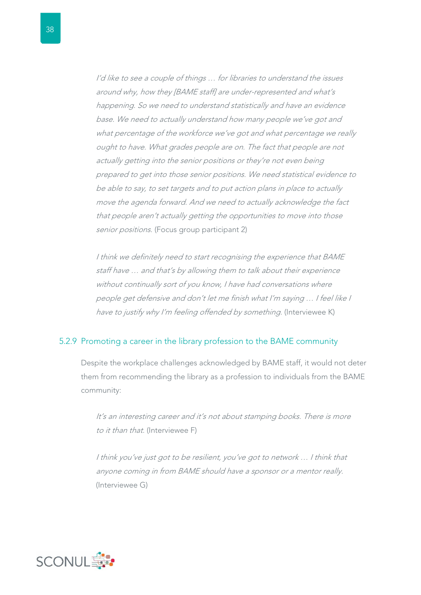I'd like to see a couple of things … for libraries to understand the issues around why, how they [BAME staff] are under-represented and what's happening. So we need to understand statistically and have an evidence base. We need to actually understand how many people we've got and what percentage of the workforce we've got and what percentage we really ought to have. What grades people are on. The fact that people are not actually getting into the senior positions or they're not even being prepared to get into those senior positions. We need statistical evidence to be able to say, to set targets and to put action plans in place to actually move the agenda forward. And we need to actually acknowledge the fact that people aren't actually getting the opportunities to move into those senior positions. (Focus group participant 2)

I think we definitely need to start recognising the experience that BAME staff have … and that's by allowing them to talk about their experience without continually sort of you know, I have had conversations where people get defensive and don't let me finish what I'm saying … I feel like I have to justify why I'm feeling offended by something. (Interviewee K)

#### 5.2.9 Promoting a career in the library profession to the BAME community

Despite the workplace challenges acknowledged by BAME staff, it would not deter them from recommending the library as a profession to individuals from the BAME community:

It's an interesting career and it's not about stamping books. There is more to it than that. (Interviewee F)

I think you've just got to be resilient, you've got to network … I think that anyone coming in from BAME should have a sponsor or a mentor really. (Interviewee G)

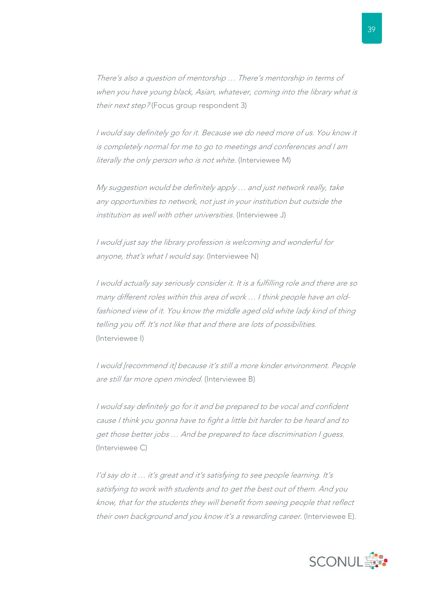There's also a question of mentorship … There's mentorship in terms of when you have young black, Asian, whatever, coming into the library what is their next step? (Focus group respondent 3)

I would say definitely go for it. Because we do need more of us. You know it is completely normal for me to go to meetings and conferences and I am literally the only person who is not white. (Interviewee M)

My suggestion would be definitely apply … and just network really, take any opportunities to network, not just in your institution but outside the institution as well with other universities. (Interviewee J)

I would just say the library profession is welcoming and wonderful for anyone, that's what I would say. (Interviewee N)

I would actually say seriously consider it. It is a fulfilling role and there are so many different roles within this area of work … I think people have an oldfashioned view of it. You know the middle aged old white lady kind of thing telling you off. It's not like that and there are lots of possibilities. (Interviewee I)

I would [recommend it] because it's still a more kinder environment. People are still far more open minded. (Interviewee B)

I would say definitely go for it and be prepared to be vocal and confident cause I think you gonna have to fight a little bit harder to be heard and to get those better jobs … And be prepared to face discrimination I guess. (Interviewee C)

I'd say do it … it's great and it's satisfying to see people learning. It's satisfying to work with students and to get the best out of them. And you know, that for the students they will benefit from seeing people that reflect their own background and you know it's a rewarding career. (Interviewee E).

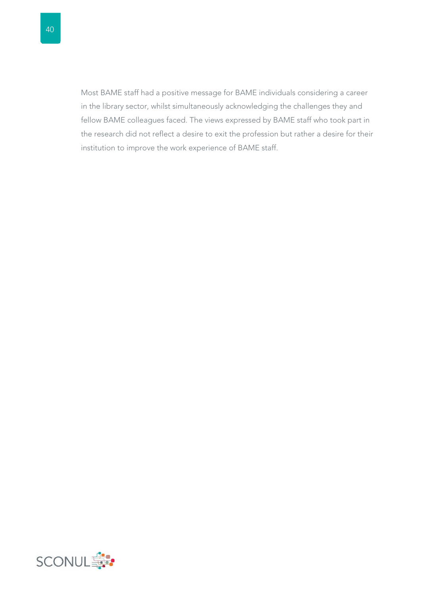Most BAME staff had a positive message for BAME individuals considering a career in the library sector, whilst simultaneously acknowledging the challenges they and fellow BAME colleagues faced. The views expressed by BAME staff who took part in the research did not reflect a desire to exit the profession but rather a desire for their institution to improve the work experience of BAME staff.

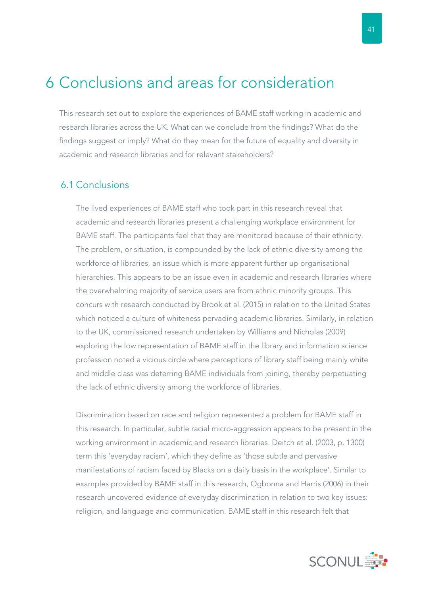### 6 Conclusions and areas for consideration

This research set out to explore the experiences of BAME staff working in academic and research libraries across the UK. What can we conclude from the findings? What do the findings suggest or imply? What do they mean for the future of equality and diversity in academic and research libraries and for relevant stakeholders?

### 6.1 Conclusions

The lived experiences of BAME staff who took part in this research reveal that academic and research libraries present a challenging workplace environment for BAME staff. The participants feel that they are monitored because of their ethnicity. The problem, or situation, is compounded by the lack of ethnic diversity among the workforce of libraries, an issue which is more apparent further up organisational hierarchies. This appears to be an issue even in academic and research libraries where the overwhelming majority of service users are from ethnic minority groups. This concurs with research conducted by Brook et al. (2015) in relation to the United States which noticed a culture of whiteness pervading academic libraries. Similarly, in relation to the UK, commissioned research undertaken by Williams and Nicholas (2009) exploring the low representation of BAME staff in the library and information science profession noted a vicious circle where perceptions of library staff being mainly white and middle class was deterring BAME individuals from joining, thereby perpetuating the lack of ethnic diversity among the workforce of libraries.

Discrimination based on race and religion represented a problem for BAME staff in this research. In particular, subtle racial micro-aggression appears to be present in the working environment in academic and research libraries. Deitch et al. (2003, p. 1300) term this 'everyday racism', which they define as 'those subtle and pervasive manifestations of racism faced by Blacks on a daily basis in the workplace'. Similar to examples provided by BAME staff in this research, Ogbonna and Harris (2006) in their research uncovered evidence of everyday discrimination in relation to two key issues: religion, and language and communication. BAME staff in this research felt that

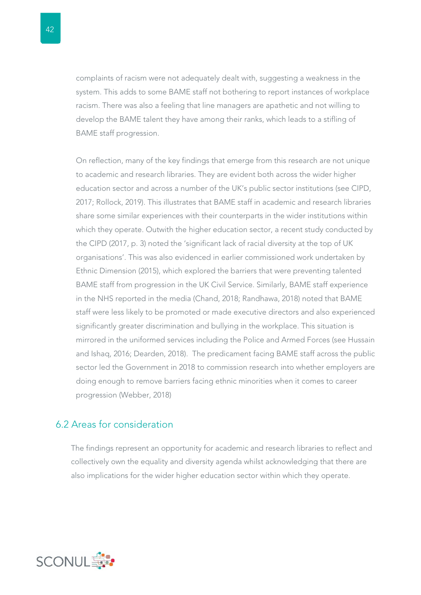complaints of racism were not adequately dealt with, suggesting a weakness in the system. This adds to some BAME staff not bothering to report instances of workplace racism. There was also a feeling that line managers are apathetic and not willing to develop the BAME talent they have among their ranks, which leads to a stifling of BAME staff progression.

On reflection, many of the key findings that emerge from this research are not unique to academic and research libraries. They are evident both across the wider higher education sector and across a number of the UK's public sector institutions (see CIPD, 2017; Rollock, 2019). This illustrates that BAME staff in academic and research libraries share some similar experiences with their counterparts in the wider institutions within which they operate. Outwith the higher education sector, a recent study conducted by the CIPD (2017, p. 3) noted the 'significant lack of racial diversity at the top of UK organisations'. This was also evidenced in earlier commissioned work undertaken by Ethnic Dimension (2015), which explored the barriers that were preventing talented BAME staff from progression in the UK Civil Service. Similarly, BAME staff experience in the NHS reported in the media (Chand, 2018; Randhawa, 2018) noted that BAME staff were less likely to be promoted or made executive directors and also experienced significantly greater discrimination and bullying in the workplace. This situation is mirrored in the uniformed services including the Police and Armed Forces (see Hussain and Ishaq, 2016; Dearden, 2018). The predicament facing BAME staff across the public sector led the Government in 2018 to commission research into whether employers are doing enough to remove barriers facing ethnic minorities when it comes to career progression (Webber, 2018)

### 6.2 Areas for consideration

The findings represent an opportunity for academic and research libraries to reflect and collectively own the equality and diversity agenda whilst acknowledging that there are also implications for the wider higher education sector within which they operate.

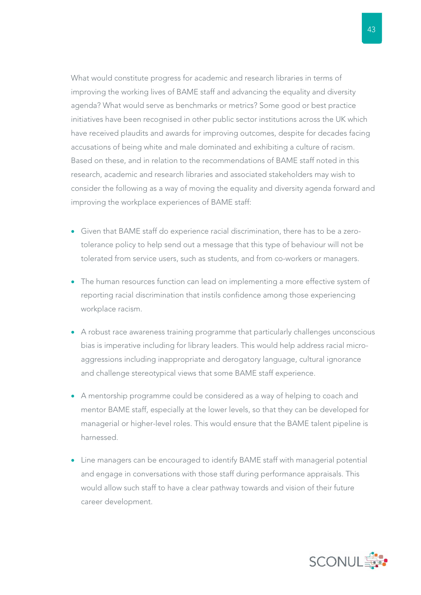What would constitute progress for academic and research libraries in terms of improving the working lives of BAME staff and advancing the equality and diversity agenda? What would serve as benchmarks or metrics? Some good or best practice initiatives have been recognised in other public sector institutions across the UK which have received plaudits and awards for improving outcomes, despite for decades facing accusations of being white and male dominated and exhibiting a culture of racism. Based on these, and in relation to the recommendations of BAME staff noted in this research, academic and research libraries and associated stakeholders may wish to consider the following as a way of moving the equality and diversity agenda forward and improving the workplace experiences of BAME staff:

- Given that BAME staff do experience racial discrimination, there has to be a zerotolerance policy to help send out a message that this type of behaviour will not be tolerated from service users, such as students, and from co-workers or managers.
- The human resources function can lead on implementing a more effective system of reporting racial discrimination that instils confidence among those experiencing workplace racism.
- A robust race awareness training programme that particularly challenges unconscious bias is imperative including for library leaders. This would help address racial microaggressions including inappropriate and derogatory language, cultural ignorance and challenge stereotypical views that some BAME staff experience.
- A mentorship programme could be considered as a way of helping to coach and mentor BAME staff, especially at the lower levels, so that they can be developed for managerial or higher-level roles. This would ensure that the BAME talent pipeline is harnessed.
- Line managers can be encouraged to identify BAME staff with managerial potential and engage in conversations with those staff during performance appraisals. This would allow such staff to have a clear pathway towards and vision of their future career development.

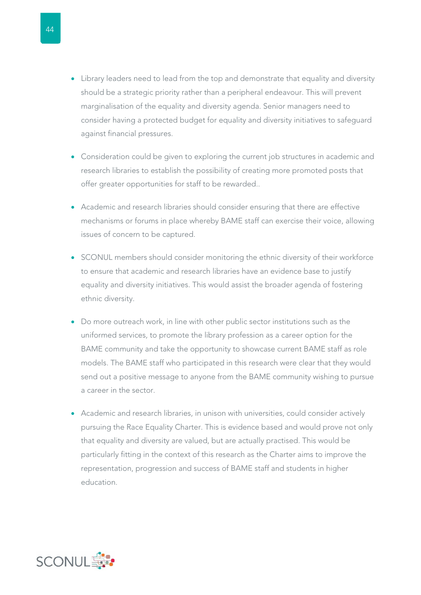- Library leaders need to lead from the top and demonstrate that equality and diversity should be a strategic priority rather than a peripheral endeavour. This will prevent marginalisation of the equality and diversity agenda. Senior managers need to consider having a protected budget for equality and diversity initiatives to safeguard against financial pressures.
- Consideration could be given to exploring the current job structures in academic and research libraries to establish the possibility of creating more promoted posts that offer greater opportunities for staff to be rewarded..
- Academic and research libraries should consider ensuring that there are effective mechanisms or forums in place whereby BAME staff can exercise their voice, allowing issues of concern to be captured.
- SCONUL members should consider monitoring the ethnic diversity of their workforce to ensure that academic and research libraries have an evidence base to justify equality and diversity initiatives. This would assist the broader agenda of fostering ethnic diversity.
- Do more outreach work, in line with other public sector institutions such as the uniformed services, to promote the library profession as a career option for the BAME community and take the opportunity to showcase current BAME staff as role models. The BAME staff who participated in this research were clear that they would send out a positive message to anyone from the BAME community wishing to pursue a career in the sector.
- Academic and research libraries, in unison with universities, could consider actively pursuing the Race Equality Charter. This is evidence based and would prove not only that equality and diversity are valued, but are actually practised. This would be particularly fitting in the context of this research as the Charter aims to improve the representation, progression and success of BAME staff and students in higher education.

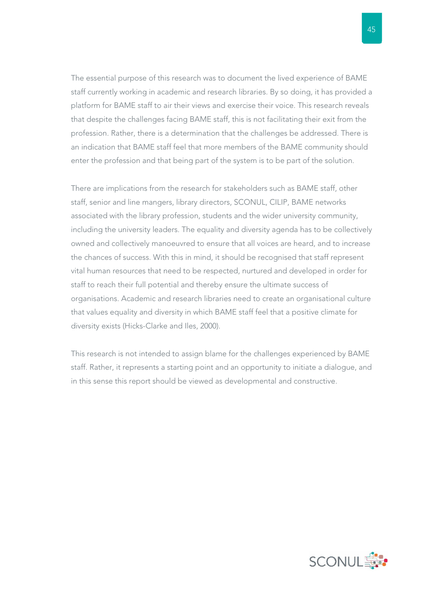The essential purpose of this research was to document the lived experience of BAME staff currently working in academic and research libraries. By so doing, it has provided a platform for BAME staff to air their views and exercise their voice. This research reveals that despite the challenges facing BAME staff, this is not facilitating their exit from the profession. Rather, there is a determination that the challenges be addressed. There is an indication that BAME staff feel that more members of the BAME community should enter the profession and that being part of the system is to be part of the solution.

There are implications from the research for stakeholders such as BAME staff, other staff, senior and line mangers, library directors, SCONUL, CILIP, BAME networks associated with the library profession, students and the wider university community, including the university leaders. The equality and diversity agenda has to be collectively owned and collectively manoeuvred to ensure that all voices are heard, and to increase the chances of success. With this in mind, it should be recognised that staff represent vital human resources that need to be respected, nurtured and developed in order for staff to reach their full potential and thereby ensure the ultimate success of organisations. Academic and research libraries need to create an organisational culture that values equality and diversity in which BAME staff feel that a positive climate for diversity exists (Hicks-Clarke and Iles, 2000).

This research is not intended to assign blame for the challenges experienced by BAME staff. Rather, it represents a starting point and an opportunity to initiate a dialogue, and in this sense this report should be viewed as developmental and constructive.

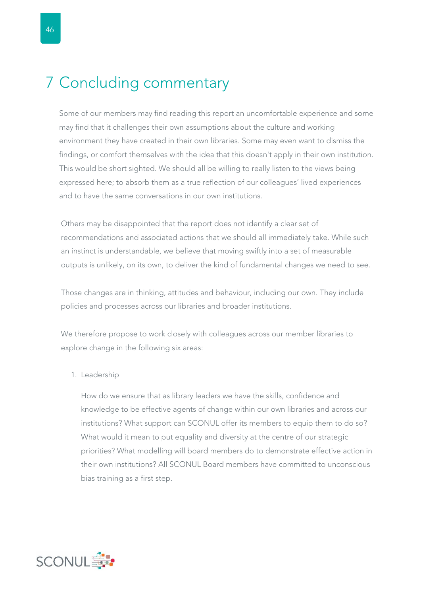### 7 Concluding commentary

Some of our members may find reading this report an uncomfortable experience and some may find that it challenges their own assumptions about the culture and working environment they have created in their own libraries. Some may even want to dismiss the findings, or comfort themselves with the idea that this doesn't apply in their own institution. This would be short sighted. We should all be willing to really listen to the views being expressed here; to absorb them as a true reflection of our colleagues' lived experiences and to have the same conversations in our own institutions.

Others may be disappointed that the report does not identify a clear set of recommendations and associated actions that we should all immediately take. While such an instinct is understandable, we believe that moving swiftly into a set of measurable outputs is unlikely, on its own, to deliver the kind of fundamental changes we need to see.

Those changes are in thinking, attitudes and behaviour, including our own. They include policies and processes across our libraries and broader institutions.

We therefore propose to work closely with colleagues across our member libraries to explore change in the following six areas:

1. Leadership

How do we ensure that as library leaders we have the skills, confidence and knowledge to be effective agents of change within our own libraries and across our institutions? What support can SCONUL offer its members to equip them to do so? What would it mean to put equality and diversity at the centre of our strategic priorities? What modelling will board members do to demonstrate effective action in their own institutions? All SCONUL Board members have committed to unconscious bias training as a first step.

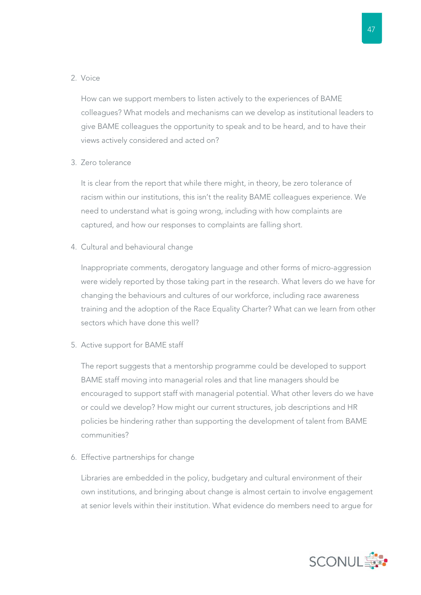#### 2. Voice

How can we support members to listen actively to the experiences of BAME colleagues? What models and mechanisms can we develop as institutional leaders to give BAME colleagues the opportunity to speak and to be heard, and to have their views actively considered and acted on?

#### 3. Zero tolerance

It is clear from the report that while there might, in theory, be zero tolerance of racism within our institutions, this isn't the reality BAME colleagues experience. We need to understand what is going wrong, including with how complaints are captured, and how our responses to complaints are falling short.

4. Cultural and behavioural change

Inappropriate comments, derogatory language and other forms of micro-aggression were widely reported by those taking part in the research. What levers do we have for changing the behaviours and cultures of our workforce, including race awareness training and the adoption of the Race Equality Charter? What can we learn from other sectors which have done this well?

5. Active support for BAME staff

The report suggests that a mentorship programme could be developed to support BAME staff moving into managerial roles and that line managers should be encouraged to support staff with managerial potential. What other levers do we have or could we develop? How might our current structures, job descriptions and HR policies be hindering rather than supporting the development of talent from BAME communities?

6. Effective partnerships for change

Libraries are embedded in the policy, budgetary and cultural environment of their own institutions, and bringing about change is almost certain to involve engagement at senior levels within their institution. What evidence do members need to argue for

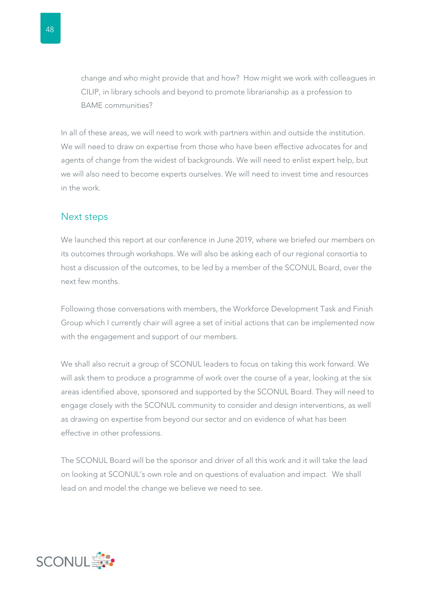change and who might provide that and how? How might we work with colleagues in CILIP, in library schools and beyond to promote librarianship as a profession to BAME communities?

In all of these areas, we will need to work with partners within and outside the institution. We will need to draw on expertise from those who have been effective advocates for and agents of change from the widest of backgrounds. We will need to enlist expert help, but we will also need to become experts ourselves. We will need to invest time and resources in the work.

### Next steps

We launched this report at our conference in June 2019, where we briefed our members on its outcomes through workshops. We will also be asking each of our regional consortia to host a discussion of the outcomes, to be led by a member of the SCONUL Board, over the next few months.

Following those conversations with members, the Workforce Development Task and Finish Group which I currently chair will agree a set of initial actions that can be implemented now with the engagement and support of our members.

We shall also recruit a group of SCONUL leaders to focus on taking this work forward. We will ask them to produce a programme of work over the course of a year, looking at the six areas identified above, sponsored and supported by the SCONUL Board. They will need to engage closely with the SCONUL community to consider and design interventions, as well as drawing on expertise from beyond our sector and on evidence of what has been effective in other professions.

The SCONUL Board will be the sponsor and driver of all this work and it will take the lead on looking at SCONUL's own role and on questions of evaluation and impact. We shall lead on and model the change we believe we need to see.

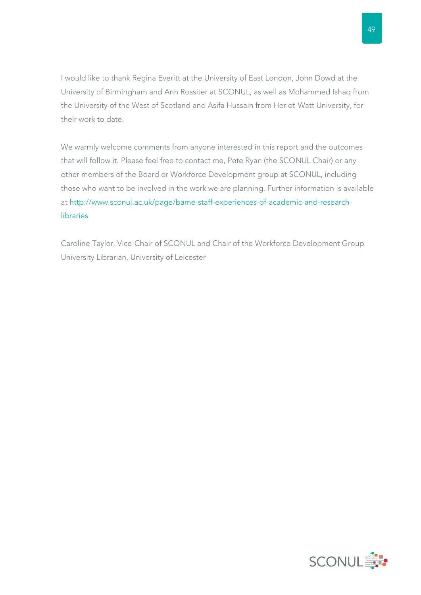I would like to thank Regina Everitt at the University of East London, John Dowd at the University of Birmingham and Ann Rossiter at SCONUL, as well as Mohammed Ishaq from the University of the West of Scotland and Asifa Hussain from Heriot-Watt University, for their work to date.

We warmly welcome comments from anyone interested in this report and the outcomes that will follow it. Please feel free to contact me, Pete Ryan (the SCONUL Chair) or any other members of the Board or Workforce Development group at SCONUL, including those who want to be involved in the work we are planning. Further information is available at http://www.sconul.ac.uk/page/bame-staff-experiences-of-academic-and-researchlibraries

Caroline Taylor, Vice-Chair of SCONUL and Chair of the Workforce Development Group University Librarian, University of Leicester

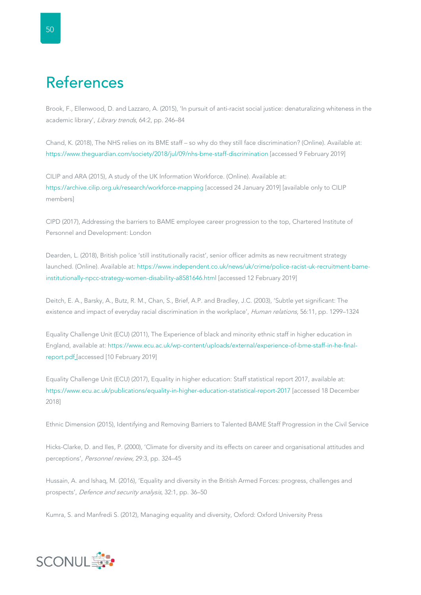# References

Brook, F., Ellenwood, D. and Lazzaro, A. (2015), 'In pursuit of anti-racist social justice: denaturalizing whiteness in the academic library', Library trends, 64:2, pp. 246–84

Chand, K. (2018), The NHS relies on its BME staff – so why do they still face discrimination? (Online). Available at: https://www.theguardian.com/society/2018/jul/09/nhs-bme-staff-discrimination [accessed 9 February 2019]

CILIP and ARA (2015), A study of the UK Information Workforce. (Online). Available at: https://archive.cilip.org.uk/research/workforce-mapping [accessed 24 January 2019] [available only to CILIP members]

CIPD (2017), Addressing the barriers to BAME employee career progression to the top, Chartered Institute of Personnel and Development: London

Dearden, L. (2018), British police 'still institutionally racist', senior officer admits as new recruitment strategy launched. (Online). Available at: https://www.independent.co.uk/news/uk/crime/police-racist-uk-recruitment-bameinstitutionally-npcc-strategy-women-disability-a8581646.html [accessed 12 February 2019]

Deitch, E. A., Barsky, A., Butz, R. M., Chan, S., Brief, A.P. and Bradley, J.C. (2003), 'Subtle yet significant: The existence and impact of everyday racial discrimination in the workplace', Human relations, 56:11, pp. 1299-1324

Equality Challenge Unit (ECU) (2011), The Experience of black and minority ethnic staff in higher education in England, available at: https://www.ecu.ac.uk/wp-content/uploads/external/experience-of-bme-staff-in-he-finalreport.pdf [accessed [10 February 2019]

Equality Challenge Unit (ECU) (2017), Equality in higher education: Staff statistical report 2017, available at: https://www.ecu.ac.uk/publications/equality-in-higher-education-statistical-report-2017 [accessed 18 December 2018]

Ethnic Dimension (2015), Identifying and Removing Barriers to Talented BAME Staff Progression in the Civil Service

Hicks-Clarke, D. and Iles, P. (2000), 'Climate for diversity and its effects on career and organisational attitudes and perceptions', Personnel review, 29:3, pp. 324–45

Hussain, A. and Ishaq, M. (2016), 'Equality and diversity in the British Armed Forces: progress, challenges and prospects', Defence and security analysis, 32:1, pp. 36–50

Kumra, S. and Manfredi S. (2012), Managing equality and diversity, Oxford: Oxford University Press

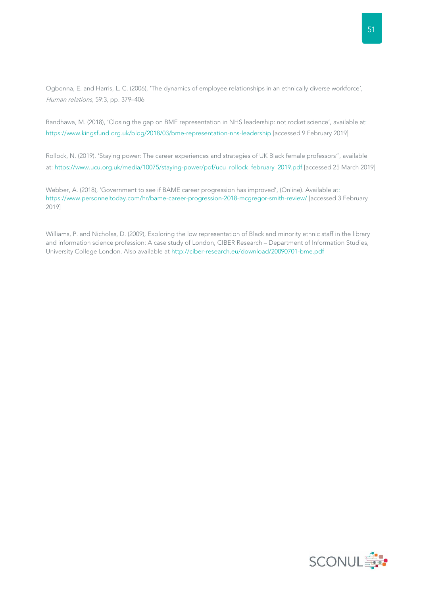Ogbonna, E. and Harris, L. C. (2006), 'The dynamics of employee relationships in an ethnically diverse workforce', Human relations, 59:3, pp. 379–406

Randhawa, M. (2018), 'Closing the gap on BME representation in NHS leadership: not rocket science', available at: https://www.kingsfund.org.uk/blog/2018/03/bme-representation-nhs-leadership [accessed 9 February 2019]

Rollock, N. (2019). 'Staying power: The career experiences and strategies of UK Black female professors", available at: https://www.ucu.org.uk/media/10075/staying-power/pdf/ucu\_rollock\_february\_2019.pdf [accessed 25 March 2019]

Webber, A. (2018), 'Government to see if BAME career progression has improved', (Online). Available at: https://www.personneltoday.com/hr/bame-career-progression-2018-mcgregor-smith-review/ [accessed 3 February 2019]

Williams, P. and Nicholas, D. (2009), Exploring the low representation of Black and minority ethnic staff in the library and information science profession: A case study of London, CIBER Research – Department of Information Studies, University College London. Also available at http://ciber-research.eu/download/20090701-bme.pdf

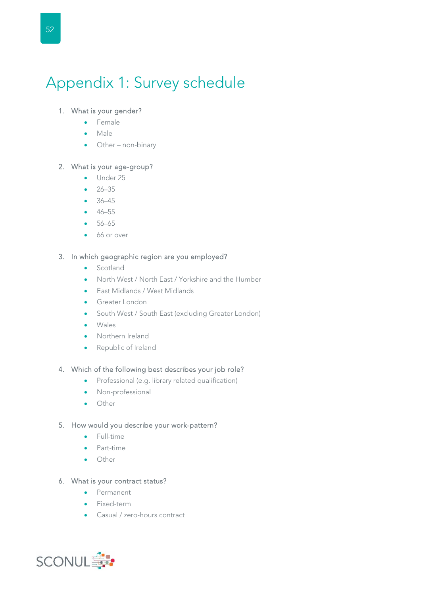# Appendix 1: Survey schedule

#### 1. What is your gender?

- **•** Female
- Male
- Other non-binary

#### 2. What is your age-group?

- Under 25
- $-26-35$
- 36–45
- 46–55
- $-56-65$
- 66 or over

#### 3. In which geographic region are you employed?

- Scotland
- North West / North East / Yorkshire and the Humber
- East Midlands / West Midlands
- **Greater London**
- South West / South East (excluding Greater London)
- Wales
- Northern Ireland
- Republic of Ireland

#### 4. Which of the following best describes your job role?

- Professional (e.g. library related qualification)
- Non-professional
- **•** Other

#### 5. How would you describe your work-pattern?

- **•** Full-time
- Part-time
- **•** Other

#### 6. What is your contract status?

- Permanent
- Fixed-term
- Casual / zero-hours contract

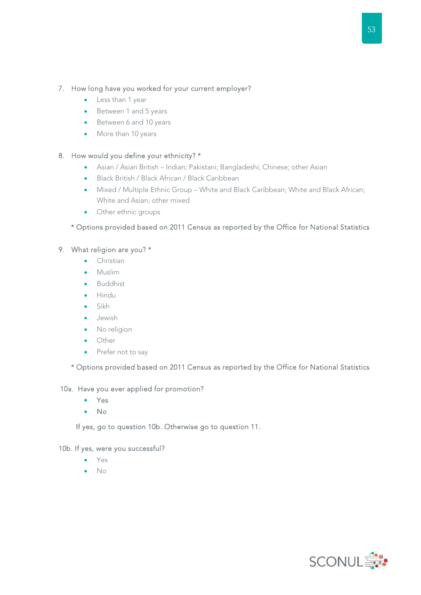#### 7. How long have you worked for your current employer?

- Less than 1 year
- Between 1 and 5 years
- Between 6 and 10 years
- More than 10 years

#### 8. How would you define your ethnicity? \*

- Asian / Asian British Indian; Pakistani; Bangladeshi; Chinese; other Asian
- Black British / Black African / Black Caribbean
- Mixed / Multiple Ethnic Group White and Black Caribbean; White and Black African; White and Asian; other mixed
- Other ethnic groups

#### \* Options provided based on 2011 Census as reported by the Office for National Statistics

#### 9. What religion are you? \*

- **•** Christian
- **•** Muslim
- Buddhist
- Hindu
- Sikh
- Jewish
- No religion
- Other
- Prefer not to say

\* Options provided based on 2011 Census as reported by the Office for National Statistics

#### 10a. Have you ever applied for promotion?

- Yes
- $\bullet$  No

If yes, go to question 10b. Otherwise go to question 11.

#### 10b. If yes, were you successful?

- Yes
- $\bullet$  No

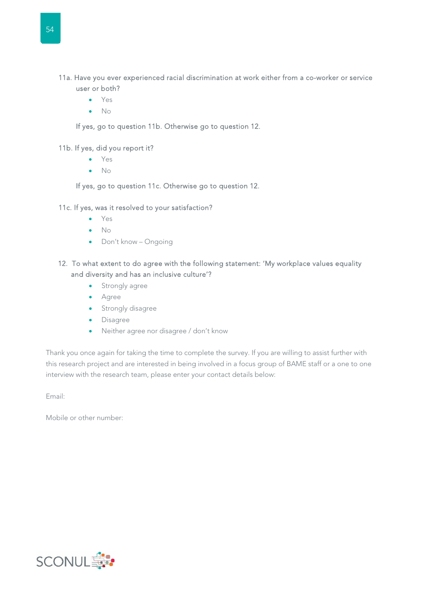- Yes
- $\bullet$  No

If yes, go to question 11b. Otherwise go to question 12.

#### 11b. If yes, did you report it?

- Yes
- $\bullet$  No

If yes, go to question 11c. Otherwise go to question 12.

#### 11c. If yes, was it resolved to your satisfaction?

- Yes
- No
- Don't know Ongoing
- 12. To what extent to do agree with the following statement: 'My workplace values equality and diversity and has an inclusive culture'?
	- **•** Strongly agree
	- Agree
	- **•** Strongly disagree
	- Disagree
	- Neither agree nor disagree / don't know

Thank you once again for taking the time to complete the survey. If you are willing to assist further with this research project and are interested in being involved in a focus group of BAME staff or a one to one interview with the research team, please enter your contact details below:

Email:

Mobile or other number: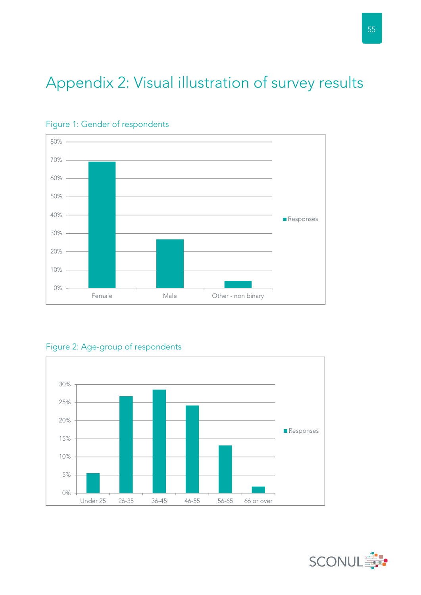# Appendix 2: Visual illustration of survey results





Figure 2: Age-group of respondents



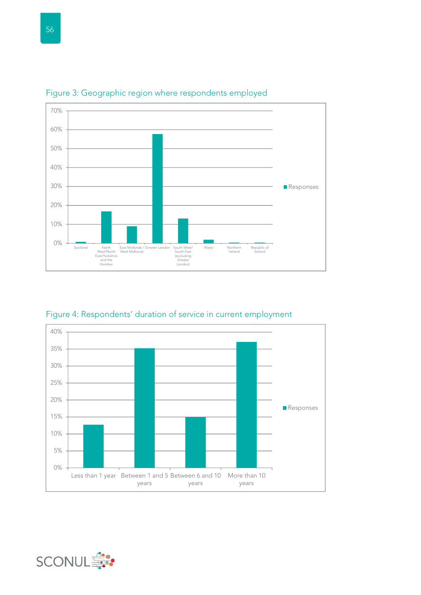

Figure 3: Geographic region where respondents employed

Figure 4: Respondents' duration of service in current employment



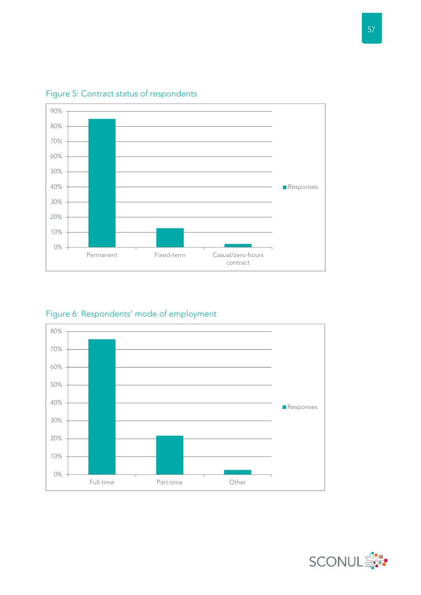

### Figure 5: Contract status of respondents

Figure 6: Respondents' mode of employment



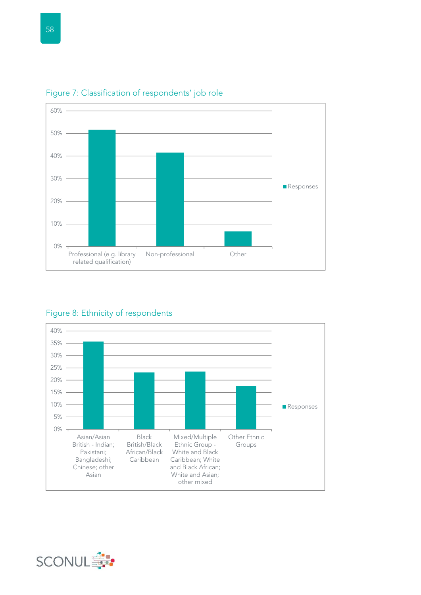



### Figure 8: Ethnicity of respondents



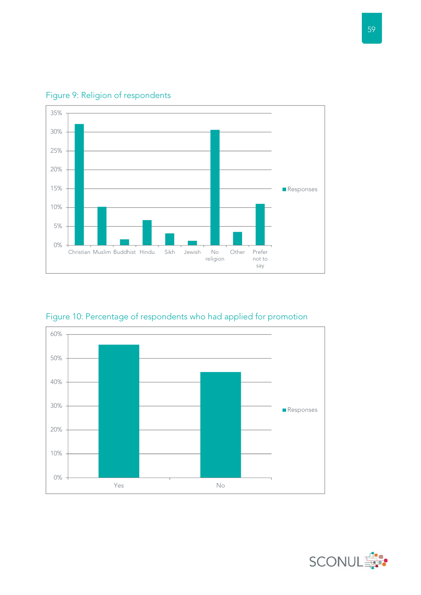

Figure 9: Religion of respondents

Figure 10: Percentage of respondents who had applied for promotion



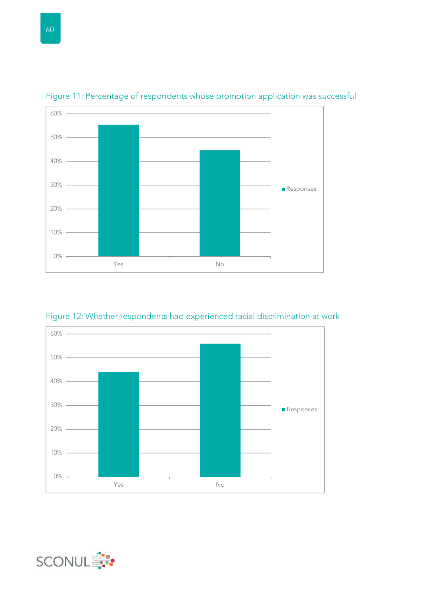

Figure 11: Percentage of respondents whose promotion application was successful





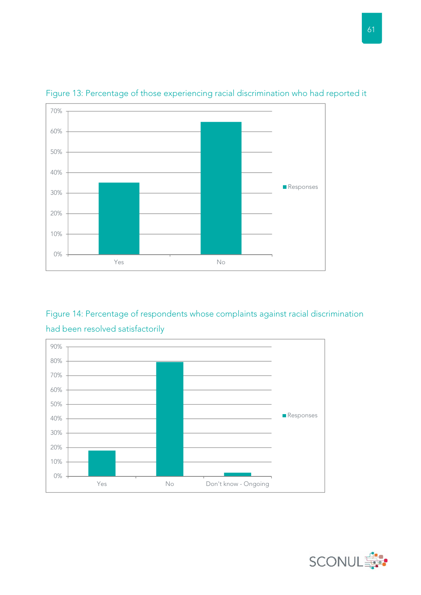

Figure 13: Percentage of those experiencing racial discrimination who had reported it

### Figure 14: Percentage of respondents whose complaints against racial discrimination had been resolved satisfactorily



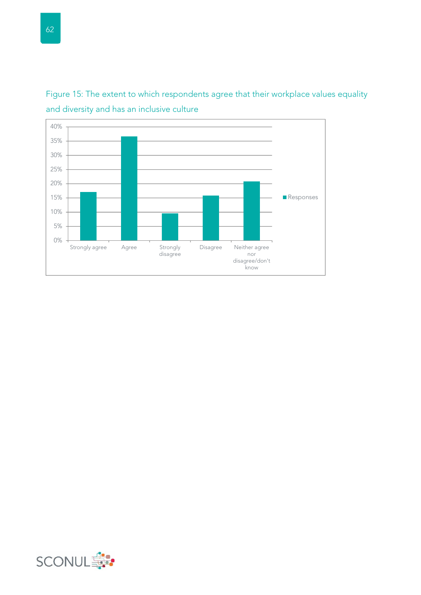

Figure 15: The extent to which respondents agree that their workplace values equality and diversity and has an inclusive culture

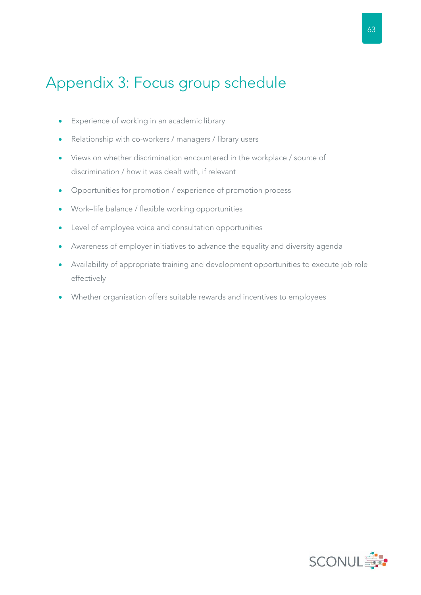# Appendix 3: Focus group schedule

- **Experience of working in an academic library**
- Relationship with co-workers / managers / library users
- Views on whether discrimination encountered in the workplace / source of discrimination / how it was dealt with, if relevant
- Opportunities for promotion / experience of promotion process
- Work–life balance / flexible working opportunities
- Level of employee voice and consultation opportunities
- Awareness of employer initiatives to advance the equality and diversity agenda
- Availability of appropriate training and development opportunities to execute job role effectively
- Whether organisation offers suitable rewards and incentives to employees

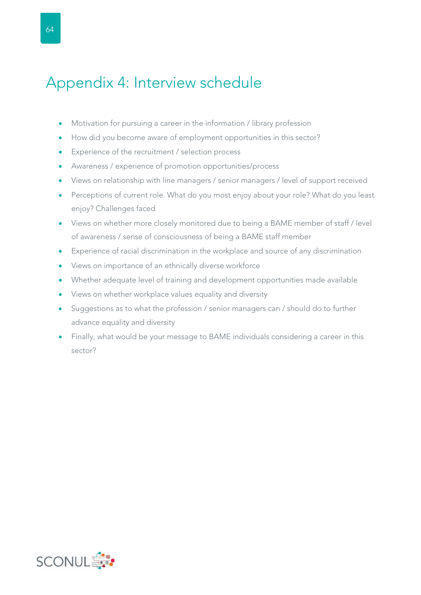# Appendix 4: Interview schedule

- Motivation for pursuing a career in the information / library profession
- How did you become aware of employment opportunities in this sector?
- Experience of the recruitment / selection process
- Awareness / experience of promotion opportunities/process
- Views on relationship with line managers / senior managers / level of support received
- Perceptions of current role. What do you most enjoy about your role? What do you least enjoy? Challenges faced
- Views on whether more closely monitored due to being a BAME member of staff / level of awareness / sense of consciousness of being a BAME staff member
- Experience of racial discrimination in the workplace and source of any discrimination
- Views on importance of an ethnically diverse workforce
- Whether adequate level of training and development opportunities made available
- Views on whether workplace values equality and diversity
- Suggestions as to what the profession / senior managers can / should do to further advance equality and diversity
- Finally, what would be your message to BAME individuals considering a career in this sector?

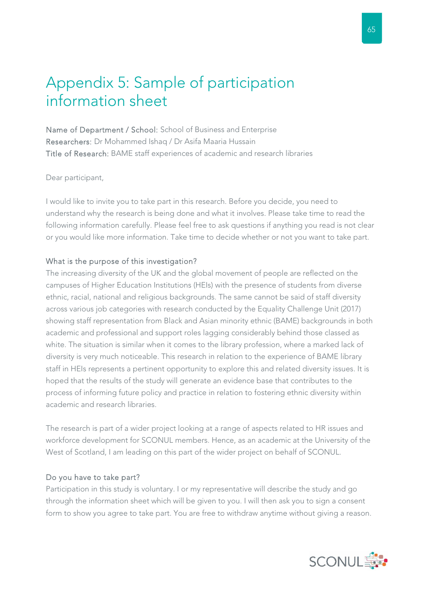# Appendix 5: Sample of participation information sheet

Name of Department / School: School of Business and Enterprise Researchers: Dr Mohammed Ishaq / Dr Asifa Maaria Hussain Title of Research: BAME staff experiences of academic and research libraries

Dear participant,

I would like to invite you to take part in this research. Before you decide, you need to understand why the research is being done and what it involves. Please take time to read the following information carefully. Please feel free to ask questions if anything you read is not clear or you would like more information. Take time to decide whether or not you want to take part.

#### What is the purpose of this investigation?

The increasing diversity of the UK and the global movement of people are reflected on the campuses of Higher Education Institutions (HEIs) with the presence of students from diverse ethnic, racial, national and religious backgrounds. The same cannot be said of staff diversity across various job categories with research conducted by the Equality Challenge Unit (2017) showing staff representation from Black and Asian minority ethnic (BAME) backgrounds in both academic and professional and support roles lagging considerably behind those classed as white. The situation is similar when it comes to the library profession, where a marked lack of diversity is very much noticeable. This research in relation to the experience of BAME library staff in HEIs represents a pertinent opportunity to explore this and related diversity issues. It is hoped that the results of the study will generate an evidence base that contributes to the process of informing future policy and practice in relation to fostering ethnic diversity within academic and research libraries.

The research is part of a wider project looking at a range of aspects related to HR issues and workforce development for SCONUL members. Hence, as an academic at the University of the West of Scotland, I am leading on this part of the wider project on behalf of SCONUL.

#### Do you have to take part?

Participation in this study is voluntary. I or my representative will describe the study and go through the information sheet which will be given to you. I will then ask you to sign a consent form to show you agree to take part. You are free to withdraw anytime without giving a reason.

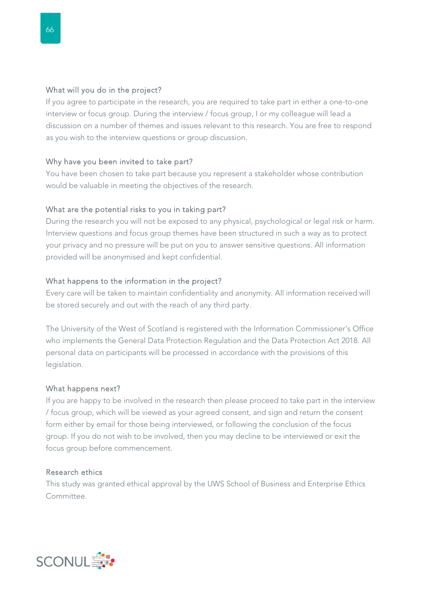#### What will you do in the project?

If you agree to participate in the research, you are required to take part in either a one-to-one interview or focus group. During the interview / focus group, I or my colleague will lead a discussion on a number of themes and issues relevant to this research. You are free to respond as you wish to the interview questions or group discussion.

#### Why have you been invited to take part?

You have been chosen to take part because you represent a stakeholder whose contribution would be valuable in meeting the objectives of the research.

#### What are the potential risks to you in taking part?

During the research you will not be exposed to any physical, psychological or legal risk or harm. Interview questions and focus group themes have been structured in such a way as to protect your privacy and no pressure will be put on you to answer sensitive questions. All information provided will be anonymised and kept confidential.

#### What happens to the information in the project?

Every care will be taken to maintain confidentiality and anonymity. All information received will be stored securely and out with the reach of any third party.

The University of the West of Scotland is registered with the Information Commissioner's Office who implements the General Data Protection Regulation and the Data Protection Act 2018. All personal data on participants will be processed in accordance with the provisions of this legislation.

#### What happens next?

If you are happy to be involved in the research then please proceed to take part in the interview / focus group, which will be viewed as your agreed consent, and sign and return the consent form either by email for those being interviewed, or following the conclusion of the focus group. If you do not wish to be involved, then you may decline to be interviewed or exit the focus group before commencement.

#### Research ethics

This study was granted ethical approval by the UWS School of Business and Enterprise Ethics Committee.

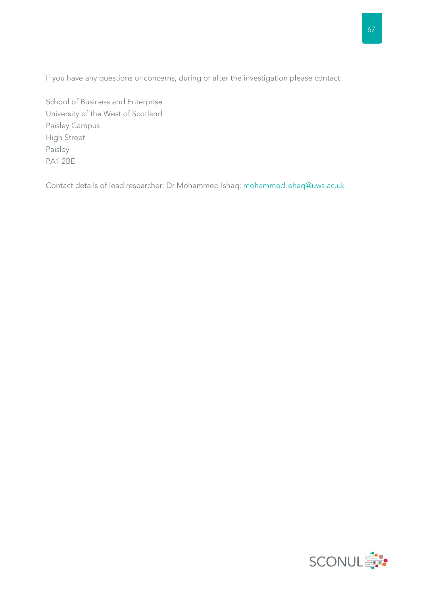If you have any questions or concerns, during or after the investigation please contact:

School of Business and Enterprise University of the West of Scotland Paisley Campus High Street Paisley PA1 2BE

Contact details of lead researcher: Dr Mohammed Ishaq: mohammed.ishaq@uws.ac.uk

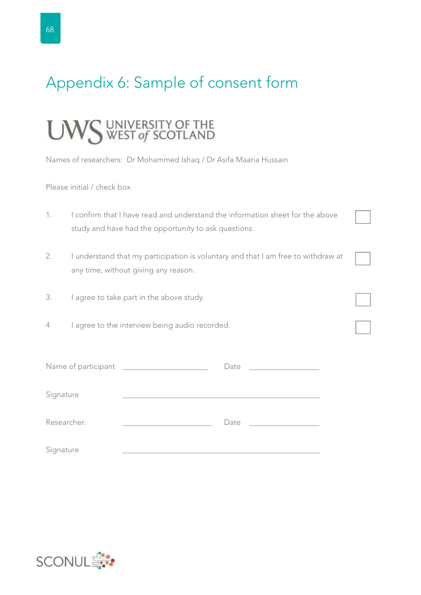# Appendix 6: Sample of consent form

# UNIVERSITY OF THE<br>WEST of SCOTLAND

Names of researchers: Dr Mohammed Ishaq / Dr Asifa Maaria Hussain

Please initial / check box

- 1. I confirm that I have read and understand the information sheet for the above study and have had the opportunity to ask questions.
- 2. I understand that my participation is voluntary and that I am free to withdraw at any time, without giving any reason.
- 3. I agree to take part in the above study.
- 4 I agree to the interview being audio recorded.

| Name of participant | Date |  |
|---------------------|------|--|
| Signature           |      |  |
| Researcher:         | Date |  |
| Signature           |      |  |